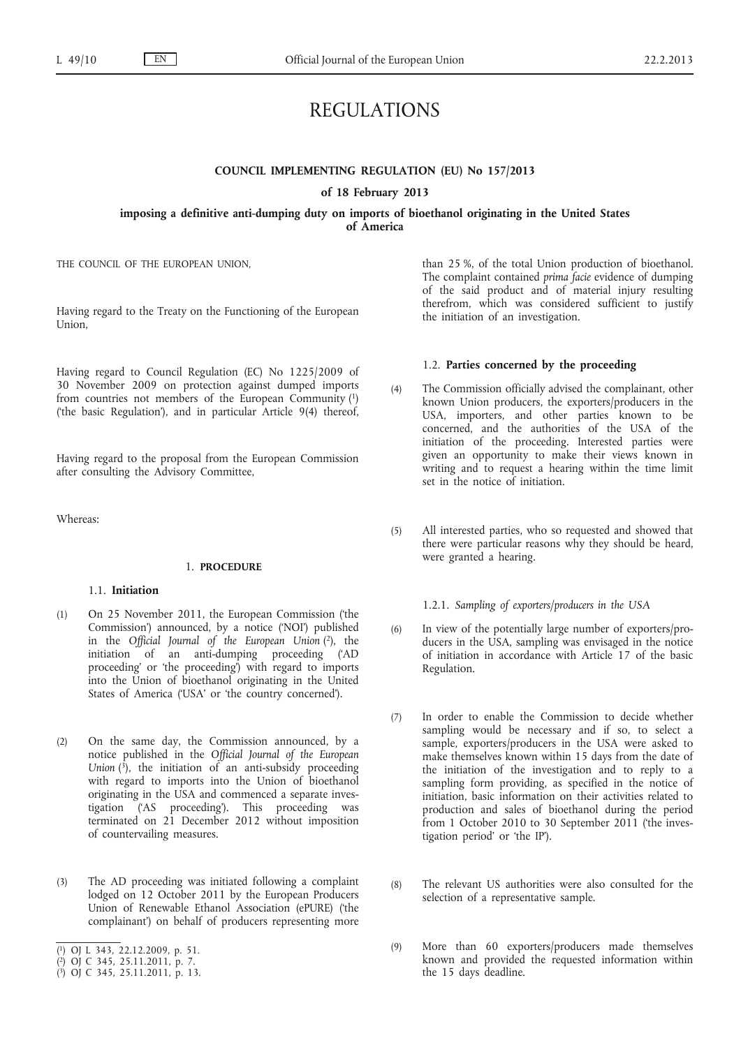# REGULATIONS

# **COUNCIL IMPLEMENTING REGULATION (EU) No 157/2013 of 18 February 2013**

# **imposing a definitive anti-dumping duty on imports of bioethanol originating in the United States of America**

THE COUNCIL OF THE EUROPEAN UNION,

Having regard to the Treaty on the Functioning of the European Union,

Having regard to Council Regulation (EC) No 1225/2009 of 30 November 2009 on protection against dumped imports from countries not members of the European Community (1) ('the basic Regulation'), and in particular Article 9(4) thereof,

Having regard to the proposal from the European Commission after consulting the Advisory Committee,

Whereas:

# 1. **PROCEDURE**

# 1.1. **Initiation**

- (1) On 25 November 2011, the European Commission ('the Commission') announced, by a notice ('NOI') published in the *Official Journal of the European Union* (2), the initiation of an anti-dumping proceeding ('AD proceeding' or 'the proceeding') with regard to imports into the Union of bioethanol originating in the United States of America ('USA' or 'the country concerned').
- (2) On the same day, the Commission announced, by a notice published in the *Official Journal of the European Union*  $(\overline{\textbf{3}})$ , the initiation of an anti-subsidy proceeding with regard to imports into the Union of bioethanol originating in the USA and commenced a separate investigation ('AS proceeding'). This proceeding was terminated on 21 December 2012 without imposition of countervailing measures.
- (3) The AD proceeding was initiated following a complaint lodged on 12 October 2011 by the European Producers Union of Renewable Ethanol Association (ePURE) ('the complainant') on behalf of producers representing more
- ( 1) OJ L 343, 22.12.2009, p. 51.
- ( 2) OJ C 345, 25.11.2011, p. 7.

than 25 %, of the total Union production of bioethanol. The complaint contained *prima facie* evidence of dumping of the said product and of material injury resulting therefrom, which was considered sufficient to justify the initiation of an investigation.

#### 1.2. **Parties concerned by the proceeding**

- (4) The Commission officially advised the complainant, other known Union producers, the exporters/producers in the USA, importers, and other parties known to be concerned, and the authorities of the USA of the initiation of the proceeding. Interested parties were given an opportunity to make their views known in writing and to request a hearing within the time limit set in the notice of initiation.
- (5) All interested parties, who so requested and showed that there were particular reasons why they should be heard, were granted a hearing.

1.2.1. *Sampling of exporters/producers in the USA*

- (6) In view of the potentially large number of exporters/producers in the USA, sampling was envisaged in the notice of initiation in accordance with Article 17 of the basic Regulation.
- (7) In order to enable the Commission to decide whether sampling would be necessary and if so, to select a sample, exporters/producers in the USA were asked to make themselves known within 15 days from the date of the initiation of the investigation and to reply to a sampling form providing, as specified in the notice of initiation, basic information on their activities related to production and sales of bioethanol during the period from 1 October 2010 to 30 September 2011 ('the investigation period' or 'the IP').
- (8) The relevant US authorities were also consulted for the selection of a representative sample.
- (9) More than 60 exporters/producers made themselves known and provided the requested information within the 15 days deadline.

<sup>(</sup> 3) OJ C 345, 25.11.2011, p. 13.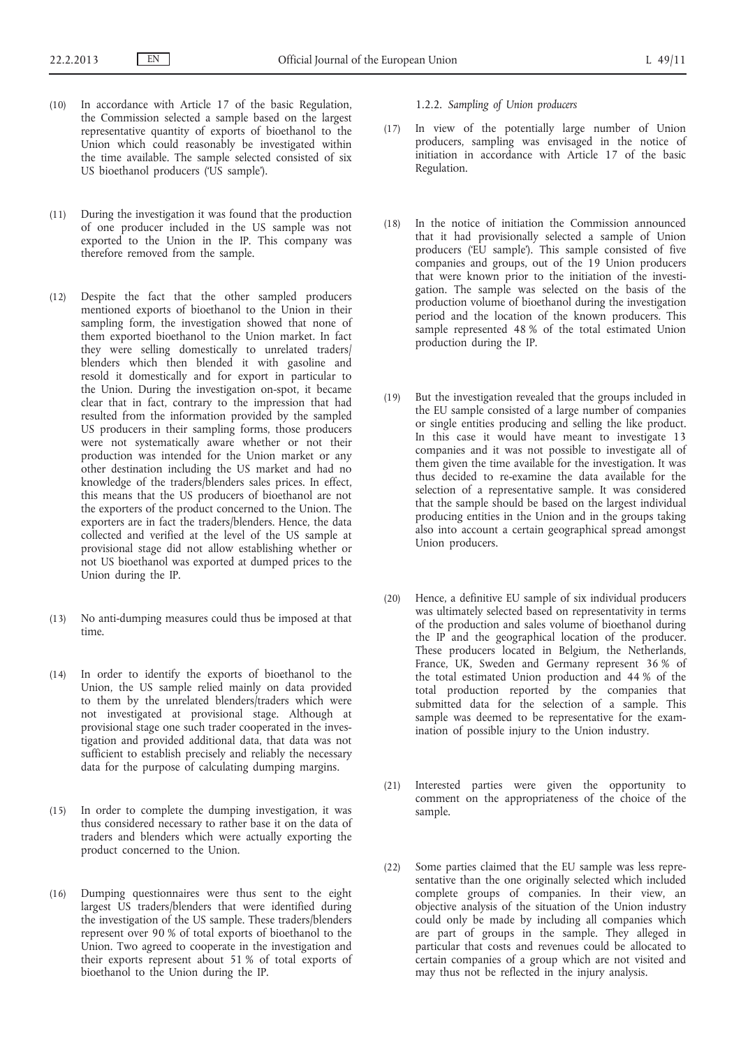- (10) In accordance with Article 17 of the basic Regulation, the Commission selected a sample based on the largest representative quantity of exports of bioethanol to the Union which could reasonably be investigated within the time available. The sample selected consisted of six US bioethanol producers ('US sample').
- (11) During the investigation it was found that the production of one producer included in the US sample was not exported to the Union in the IP. This company was therefore removed from the sample.
- (12) Despite the fact that the other sampled producers mentioned exports of bioethanol to the Union in their sampling form, the investigation showed that none of them exported bioethanol to the Union market. In fact they were selling domestically to unrelated traders/ blenders which then blended it with gasoline and resold it domestically and for export in particular to the Union. During the investigation on-spot, it became clear that in fact, contrary to the impression that had resulted from the information provided by the sampled US producers in their sampling forms, those producers were not systematically aware whether or not their production was intended for the Union market or any other destination including the US market and had no knowledge of the traders/blenders sales prices. In effect, this means that the US producers of bioethanol are not the exporters of the product concerned to the Union. The exporters are in fact the traders/blenders. Hence, the data collected and verified at the level of the US sample at provisional stage did not allow establishing whether or not US bioethanol was exported at dumped prices to the Union during the IP.
- (13) No anti-dumping measures could thus be imposed at that time.
- (14) In order to identify the exports of bioethanol to the Union, the US sample relied mainly on data provided to them by the unrelated blenders/traders which were not investigated at provisional stage. Although at provisional stage one such trader cooperated in the investigation and provided additional data, that data was not sufficient to establish precisely and reliably the necessary data for the purpose of calculating dumping margins.
- (15) In order to complete the dumping investigation, it was thus considered necessary to rather base it on the data of traders and blenders which were actually exporting the product concerned to the Union.
- (16) Dumping questionnaires were thus sent to the eight largest US traders/blenders that were identified during the investigation of the US sample. These traders/blenders represent over 90 % of total exports of bioethanol to the Union. Two agreed to cooperate in the investigation and their exports represent about 51 % of total exports of bioethanol to the Union during the IP.

1.2.2. *Sampling of Union producers*

- (17) In view of the potentially large number of Union producers, sampling was envisaged in the notice of initiation in accordance with Article 17 of the basic Regulation.
- (18) In the notice of initiation the Commission announced that it had provisionally selected a sample of Union producers ('EU sample'). This sample consisted of five companies and groups, out of the 19 Union producers that were known prior to the initiation of the investigation. The sample was selected on the basis of the production volume of bioethanol during the investigation period and the location of the known producers. This sample represented 48 % of the total estimated Union production during the IP.
- (19) But the investigation revealed that the groups included in the EU sample consisted of a large number of companies or single entities producing and selling the like product. In this case it would have meant to investigate 13 companies and it was not possible to investigate all of them given the time available for the investigation. It was thus decided to re-examine the data available for the selection of a representative sample. It was considered that the sample should be based on the largest individual producing entities in the Union and in the groups taking also into account a certain geographical spread amongst Union producers.
- (20) Hence, a definitive EU sample of six individual producers was ultimately selected based on representativity in terms of the production and sales volume of bioethanol during the IP and the geographical location of the producer. These producers located in Belgium, the Netherlands, France, UK, Sweden and Germany represent 36 % of the total estimated Union production and 44 % of the total production reported by the companies that submitted data for the selection of a sample. This sample was deemed to be representative for the examination of possible injury to the Union industry.
- (21) Interested parties were given the opportunity to comment on the appropriateness of the choice of the sample.
- (22) Some parties claimed that the EU sample was less representative than the one originally selected which included complete groups of companies. In their view, an objective analysis of the situation of the Union industry could only be made by including all companies which are part of groups in the sample. They alleged in particular that costs and revenues could be allocated to certain companies of a group which are not visited and may thus not be reflected in the injury analysis.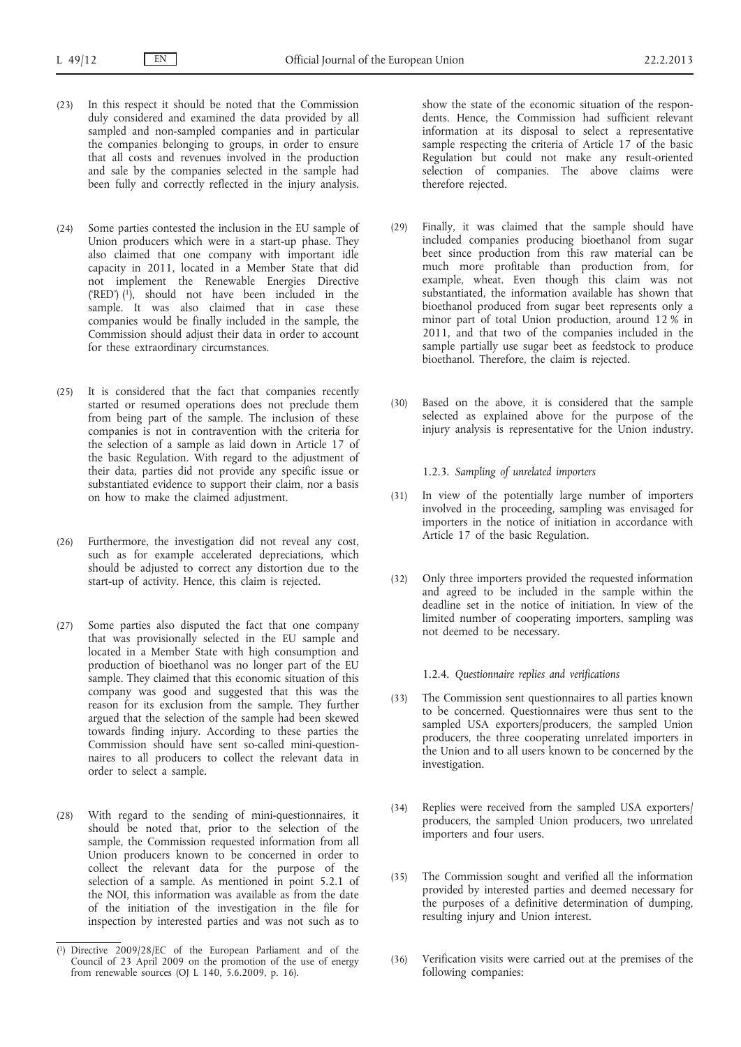- (23) In this respect it should be noted that the Commission duly considered and examined the data provided by all sampled and non-sampled companies and in particular the companies belonging to groups, in order to ensure that all costs and revenues involved in the production and sale by the companies selected in the sample had been fully and correctly reflected in the injury analysis.
- (24) Some parties contested the inclusion in the EU sample of Union producers which were in a start-up phase. They also claimed that one company with important idle capacity in 2011, located in a Member State that did not implement the Renewable Energies Directive ('RED')  $(1)$ , should not have been included in the sample. It was also claimed that in case these companies would be finally included in the sample, the Commission should adjust their data in order to account for these extraordinary circumstances.
- (25) It is considered that the fact that companies recently started or resumed operations does not preclude them from being part of the sample. The inclusion of these companies is not in contravention with the criteria for the selection of a sample as laid down in Article 17 of the basic Regulation. With regard to the adjustment of their data, parties did not provide any specific issue or substantiated evidence to support their claim, nor a basis on how to make the claimed adjustment.
- (26) Furthermore, the investigation did not reveal any cost, such as for example accelerated depreciations, which should be adjusted to correct any distortion due to the start-up of activity. Hence, this claim is rejected.
- (27) Some parties also disputed the fact that one company that was provisionally selected in the EU sample and located in a Member State with high consumption and production of bioethanol was no longer part of the EU sample. They claimed that this economic situation of this company was good and suggested that this was the reason for its exclusion from the sample. They further argued that the selection of the sample had been skewed towards finding injury. According to these parties the Commission should have sent so-called mini-questionnaires to all producers to collect the relevant data in order to select a sample.
- (28) With regard to the sending of mini-questionnaires, it should be noted that, prior to the selection of the sample, the Commission requested information from all Union producers known to be concerned in order to collect the relevant data for the purpose of the selection of a sample. As mentioned in point 5.2.1 of the NOI, this information was available as from the date of the initiation of the investigation in the file for inspection by interested parties and was not such as to

show the state of the economic situation of the respondents. Hence, the Commission had sufficient relevant information at its disposal to select a representative sample respecting the criteria of Article 17 of the basic Regulation but could not make any result-oriented selection of companies. The above claims were therefore rejected.

- (29) Finally, it was claimed that the sample should have included companies producing bioethanol from sugar beet since production from this raw material can be much more profitable than production from, for example, wheat. Even though this claim was not substantiated, the information available has shown that bioethanol produced from sugar beet represents only a minor part of total Union production, around 12 % in 2011, and that two of the companies included in the sample partially use sugar beet as feedstock to produce bioethanol. Therefore, the claim is rejected.
- (30) Based on the above, it is considered that the sample selected as explained above for the purpose of the injury analysis is representative for the Union industry.

1.2.3. *Sampling of unrelated importers*

- (31) In view of the potentially large number of importers involved in the proceeding, sampling was envisaged for importers in the notice of initiation in accordance with Article 17 of the basic Regulation.
- (32) Only three importers provided the requested information and agreed to be included in the sample within the deadline set in the notice of initiation. In view of the limited number of cooperating importers, sampling was not deemed to be necessary.

1.2.4. *Questionnaire replies and verifications*

- (33) The Commission sent questionnaires to all parties known to be concerned. Questionnaires were thus sent to the sampled USA exporters/producers, the sampled Union producers, the three cooperating unrelated importers in the Union and to all users known to be concerned by the investigation.
- (34) Replies were received from the sampled USA exporters/ producers, the sampled Union producers, two unrelated importers and four users.
- (35) The Commission sought and verified all the information provided by interested parties and deemed necessary for the purposes of a definitive determination of dumping, resulting injury and Union interest.
- (36) Verification visits were carried out at the premises of the following companies:

<sup>(</sup> 1) Directive 2009/28/EC of the European Parliament and of the Council of 23 April 2009 on the promotion of the use of energy from renewable sources (OJ L 140, 5.6.2009, p. 16).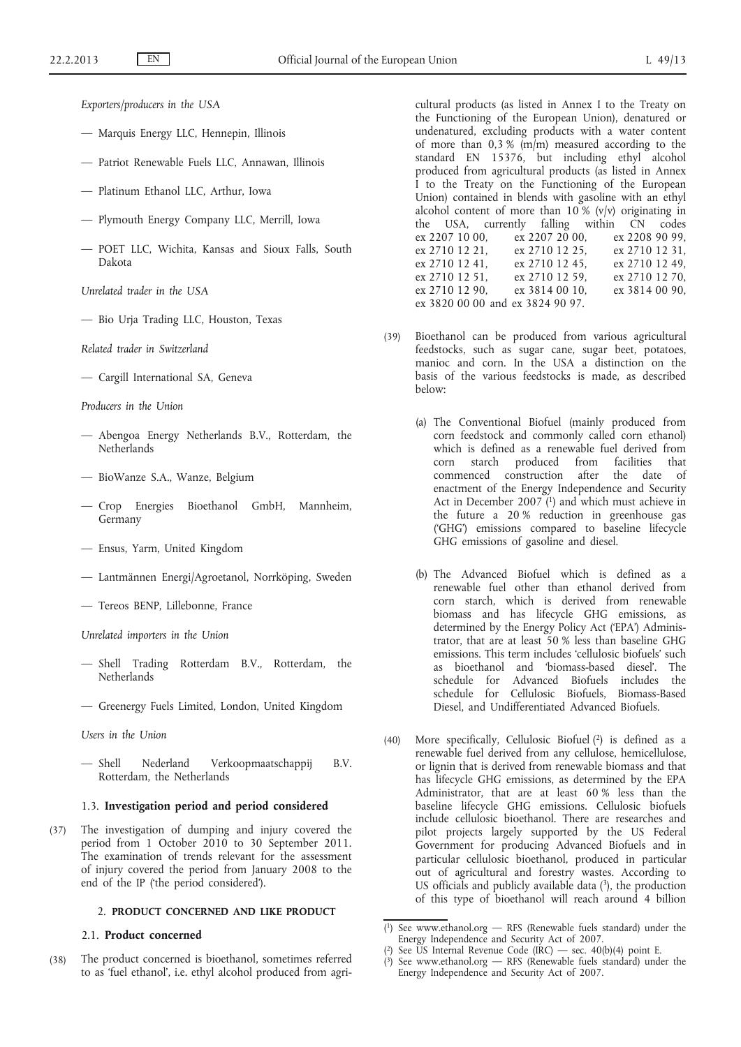*Exporters/producers in the USA*

- Marquis Energy LLC, Hennepin, Illinois
- Patriot Renewable Fuels LLC, Annawan, Illinois
- Platinum Ethanol LLC, Arthur, Iowa
- Plymouth Energy Company LLC, Merrill, Iowa
- POET LLC, Wichita, Kansas and Sioux Falls, South Dakota
- *Unrelated trader in the USA*
- Bio Urja Trading LLC, Houston, Texas

*Related trader in Switzerland*

— Cargill International SA, Geneva

*Producers in the Union*

- Abengoa Energy Netherlands B.V., Rotterdam, the **Netherlands**
- BioWanze S.A., Wanze, Belgium
- Crop Energies Bioethanol GmbH, Mannheim, Germany
- Ensus, Yarm, United Kingdom
- Lantmännen Energi/Agroetanol, Norrköping, Sweden
- Tereos BENP, Lillebonne, France

*Unrelated importers in the Union*

- Shell Trading Rotterdam B.V., Rotterdam, the **Netherlands**
- Greenergy Fuels Limited, London, United Kingdom

*Users in the Union*

— Shell Nederland Verkoopmaatschappij B.V. Rotterdam, the Netherlands

#### 1.3. **Investigation period and period considered**

(37) The investigation of dumping and injury covered the period from 1 October 2010 to 30 September 2011. The examination of trends relevant for the assessment of injury covered the period from January 2008 to the end of the IP ('the period considered').

# 2. **PRODUCT CONCERNED AND LIKE PRODUCT**

# 2.1. **Product concerned**

(38) The product concerned is bioethanol, sometimes referred to as 'fuel ethanol', i.e. ethyl alcohol produced from agricultural products (as listed in Annex I to the Treaty on the Functioning of the European Union), denatured or undenatured, excluding products with a water content of more than  $0.3 %$  (m/m) measured according to the standard EN 15376, but including ethyl alcohol produced from agricultural products (as listed in Annex I to the Treaty on the Functioning of the European Union) contained in blends with gasoline with an ethyl alcohol content of more than  $10\%$  (v/v) originating in the USA, currently falling within  $\overline{CN}$  codes<br>ex 2207 10 00, ex 2207 20 00, ex 2208 90 99,  $\vec{e}$  2207 20 00, ex 2710 12 21, ex 2710 12 25, ex 2710 12 31,<br>ex 2710 12 41, ex 2710 12 45, ex 2710 12 49, ex 2710 12 45, ex 2710 12 49, ex 2710 12 51, ex 2710 12 59, ex 2710 12 70, ex 2710 12 90, ex 3814 00 10, ex 3814 00 90, ex 3820 00 00 and ex 3824 90 97.

- (39) Bioethanol can be produced from various agricultural feedstocks, such as sugar cane, sugar beet, potatoes, manioc and corn. In the USA a distinction on the basis of the various feedstocks is made, as described below:
	- (a) The Conventional Biofuel (mainly produced from corn feedstock and commonly called corn ethanol) which is defined as a renewable fuel derived from corn starch produced from facilities that commenced construction after the date of enactment of the Energy Independence and Security Act in December 2007<sup> $(1)$ </sup> and which must achieve in the future a 20 % reduction in greenhouse gas ('GHG') emissions compared to baseline lifecycle GHG emissions of gasoline and diesel.
	- (b) The Advanced Biofuel which is defined as a renewable fuel other than ethanol derived from corn starch, which is derived from renewable biomass and has lifecycle GHG emissions, as determined by the Energy Policy Act ('EPA') Administrator, that are at least 50 % less than baseline GHG emissions. This term includes 'cellulosic biofuels' such as bioethanol and 'biomass-based diesel'. The schedule for Advanced Biofuels includes the schedule for Cellulosic Biofuels, Biomass-Based Diesel, and Undifferentiated Advanced Biofuels.
- (40) More specifically, Cellulosic Biofuel (2) is defined as a renewable fuel derived from any cellulose, hemicellulose, or lignin that is derived from renewable biomass and that has lifecycle GHG emissions, as determined by the EPA Administrator, that are at least 60 % less than the baseline lifecycle GHG emissions. Cellulosic biofuels include cellulosic bioethanol. There are researches and pilot projects largely supported by the US Federal Government for producing Advanced Biofuels and in particular cellulosic bioethanol, produced in particular out of agricultural and forestry wastes. According to US officials and publicly available data  $(3)$ , the production of this type of bioethanol will reach around 4 billion

<sup>(</sup> 1) See [www.ethanol.org](http://www.ethanol.org) — RFS (Renewable fuels standard) under the Energy Independence and Security Act of 2007.

<sup>(</sup> 2) See US Internal Revenue Code (IRC) — sec. 40(b)(4) point E.

<sup>(</sup> 3) See [www.ethanol.org](http://www.ethanol.org) — RFS (Renewable fuels standard) under the Energy Independence and Security Act of 2007.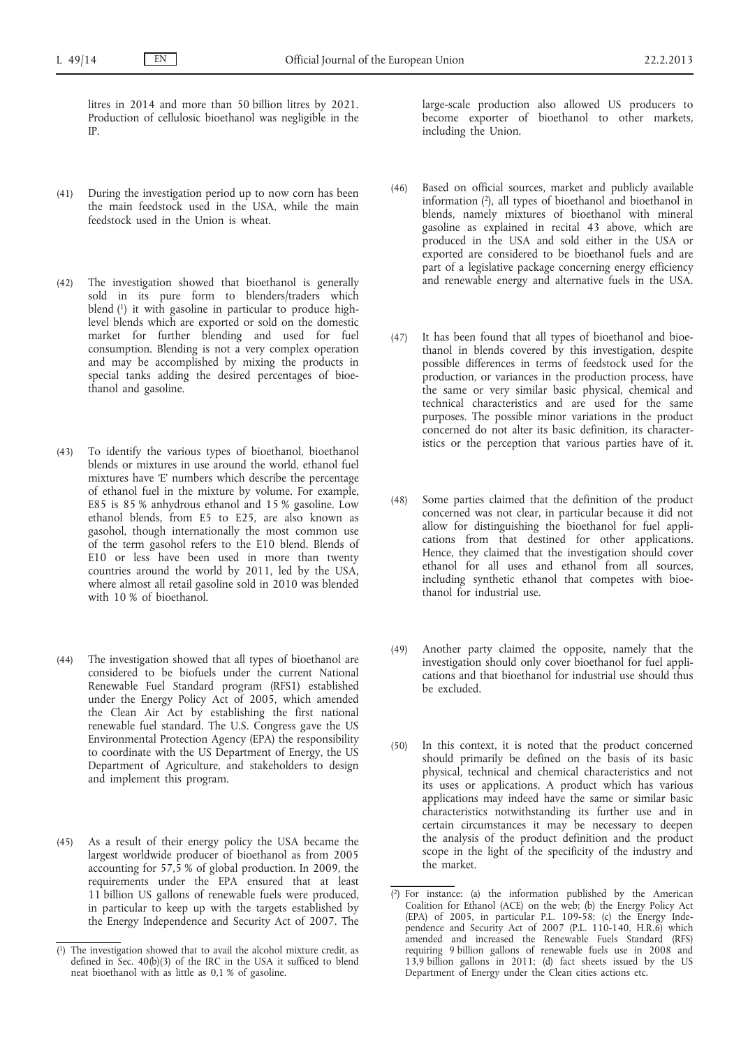litres in 2014 and more than 50 billion litres by 2021. Production of cellulosic bioethanol was negligible in the IP.

- (41) During the investigation period up to now corn has been the main feedstock used in the USA, while the main feedstock used in the Union is wheat.
- (42) The investigation showed that bioethanol is generally sold in its pure form to blenders/traders which blend (1) it with gasoline in particular to produce highlevel blends which are exported or sold on the domestic market for further blending and used for fuel consumption. Blending is not a very complex operation and may be accomplished by mixing the products in special tanks adding the desired percentages of bioethanol and gasoline.
- (43) To identify the various types of bioethanol, bioethanol blends or mixtures in use around the world, ethanol fuel mixtures have 'E' numbers which describe the percentage of ethanol fuel in the mixture by volume. For example, E85 is 85 % anhydrous ethanol and 15 % gasoline. Low ethanol blends, from E5 to E25, are also known as gasohol, though internationally the most common use of the term gasohol refers to the E10 blend. Blends of E10 or less have been used in more than twenty countries around the world by 2011, led by the USA, where almost all retail gasoline sold in 2010 was blended with 10 % of bioethanol.
- (44) The investigation showed that all types of bioethanol are considered to be biofuels under the current National Renewable Fuel Standard program (RFS1) established under the Energy Policy Act of 2005, which amended the Clean Air Act by establishing the first national renewable fuel standard. The U.S. Congress gave the US Environmental Protection Agency (EPA) the responsibility to coordinate with the US Department of Energy, the US Department of Agriculture, and stakeholders to design and implement this program.
- (45) As a result of their energy policy the USA became the largest worldwide producer of bioethanol as from 2005 accounting for 57,5 % of global production. In 2009, the requirements under the EPA ensured that at least 11 billion US gallons of renewable fuels were produced, in particular to keep up with the targets established by the Energy Independence and Security Act of 2007. The

large-scale production also allowed US producers to become exporter of bioethanol to other markets, including the Union.

- (46) Based on official sources, market and publicly available information (2), all types of bioethanol and bioethanol in blends, namely mixtures of bioethanol with mineral gasoline as explained in recital 43 above, which are produced in the USA and sold either in the USA or exported are considered to be bioethanol fuels and are part of a legislative package concerning energy efficiency and renewable energy and alternative fuels in the USA.
- (47) It has been found that all types of bioethanol and bioethanol in blends covered by this investigation, despite possible differences in terms of feedstock used for the production, or variances in the production process, have the same or very similar basic physical, chemical and technical characteristics and are used for the same purposes. The possible minor variations in the product concerned do not alter its basic definition, its characteristics or the perception that various parties have of it.
- (48) Some parties claimed that the definition of the product concerned was not clear, in particular because it did not allow for distinguishing the bioethanol for fuel applications from that destined for other applications. Hence, they claimed that the investigation should cover ethanol for all uses and ethanol from all sources, including synthetic ethanol that competes with bioethanol for industrial use.
- (49) Another party claimed the opposite, namely that the investigation should only cover bioethanol for fuel applications and that bioethanol for industrial use should thus be excluded.
- (50) In this context, it is noted that the product concerned should primarily be defined on the basis of its basic physical, technical and chemical characteristics and not its uses or applications. A product which has various applications may indeed have the same or similar basic characteristics notwithstanding its further use and in certain circumstances it may be necessary to deepen the analysis of the product definition and the product scope in the light of the specificity of the industry and the market.

<sup>(</sup> The investigation showed that to avail the alcohol mixture credit, as defined in Sec. 40(b)(3) of the IRC in the USA it sufficed to blend neat bioethanol with as little as 0,1 % of gasoline.

<sup>(</sup> 2) For instance: (a) the information published by the American Coalition for Ethanol (ACE) on the web; (b) the Energy Policy Act (EPA) of 2005, in particular P.L. 109-58; (c) the Energy Independence and Security Act of 2007 (P.L. 110-140, H.R.6) which amended and increased the Renewable Fuels Standard (RFS) requiring 9 billion gallons of renewable fuels use in 2008 and 13,9 billion gallons in 2011; (d) fact sheets issued by the US Department of Energy under the Clean cities actions etc.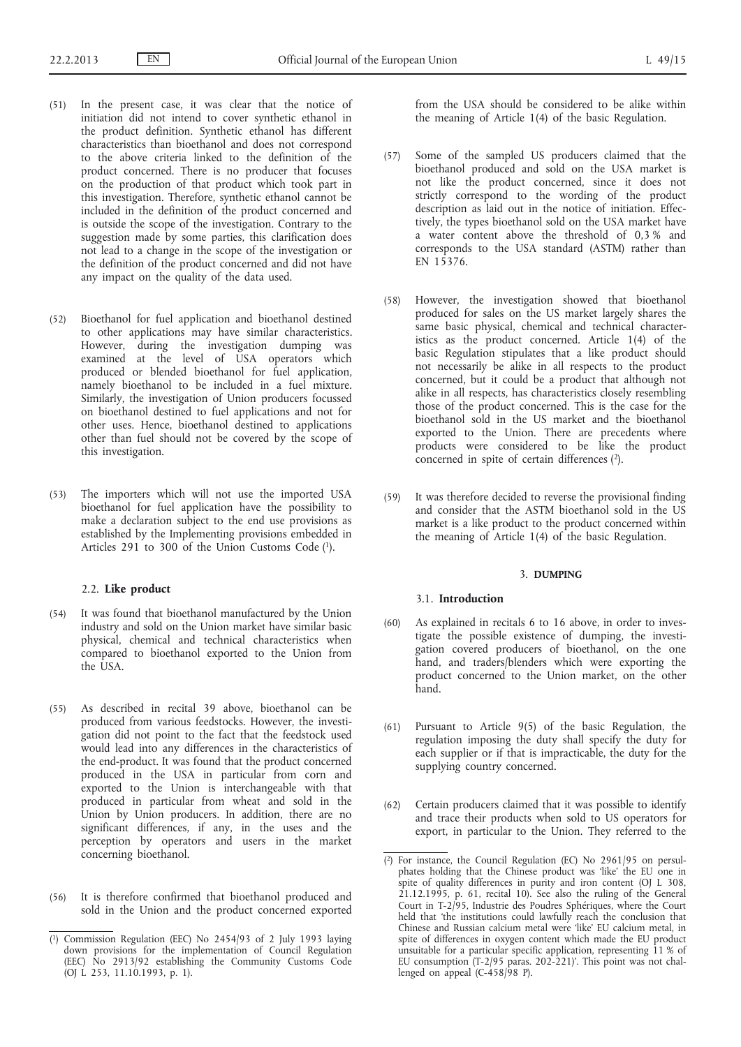- (51) In the present case, it was clear that the notice of initiation did not intend to cover synthetic ethanol in the product definition. Synthetic ethanol has different characteristics than bioethanol and does not correspond to the above criteria linked to the definition of the product concerned. There is no producer that focuses on the production of that product which took part in this investigation. Therefore, synthetic ethanol cannot be included in the definition of the product concerned and is outside the scope of the investigation. Contrary to the suggestion made by some parties, this clarification does not lead to a change in the scope of the investigation or the definition of the product concerned and did not have any impact on the quality of the data used.
- (52) Bioethanol for fuel application and bioethanol destined to other applications may have similar characteristics. However, during the investigation dumping was examined at the level of USA operators which produced or blended bioethanol for fuel application, namely bioethanol to be included in a fuel mixture. Similarly, the investigation of Union producers focussed on bioethanol destined to fuel applications and not for other uses. Hence, bioethanol destined to applications other than fuel should not be covered by the scope of this investigation.
- (53) The importers which will not use the imported USA bioethanol for fuel application have the possibility to make a declaration subject to the end use provisions as established by the Implementing provisions embedded in Articles 291 to 300 of the Union Customs Code (1).

#### 2.2. **Like product**

- (54) It was found that bioethanol manufactured by the Union industry and sold on the Union market have similar basic physical, chemical and technical characteristics when compared to bioethanol exported to the Union from the USA.
- (55) As described in recital 39 above, bioethanol can be produced from various feedstocks. However, the investigation did not point to the fact that the feedstock used would lead into any differences in the characteristics of the end-product. It was found that the product concerned produced in the USA in particular from corn and exported to the Union is interchangeable with that produced in particular from wheat and sold in the Union by Union producers. In addition, there are no significant differences, if any, in the uses and the perception by operators and users in the market concerning bioethanol.
- (56) It is therefore confirmed that bioethanol produced and sold in the Union and the product concerned exported

from the USA should be considered to be alike within the meaning of Article 1(4) of the basic Regulation.

- (57) Some of the sampled US producers claimed that the bioethanol produced and sold on the USA market is not like the product concerned, since it does not strictly correspond to the wording of the product description as laid out in the notice of initiation. Effectively, the types bioethanol sold on the USA market have a water content above the threshold of 0,3 % and corresponds to the USA standard (ASTM) rather than EN 15376.
- (58) However, the investigation showed that bioethanol produced for sales on the US market largely shares the same basic physical, chemical and technical characteristics as the product concerned. Article 1(4) of the basic Regulation stipulates that a like product should not necessarily be alike in all respects to the product concerned, but it could be a product that although not alike in all respects, has characteristics closely resembling those of the product concerned. This is the case for the bioethanol sold in the US market and the bioethanol exported to the Union. There are precedents where products were considered to be like the product concerned in spite of certain differences  $(2)$ .
- (59) It was therefore decided to reverse the provisional finding and consider that the ASTM bioethanol sold in the US market is a like product to the product concerned within the meaning of Article 1(4) of the basic Regulation.

#### 3. **DUMPING**

#### 3.1. **Introduction**

- (60) As explained in recitals 6 to 16 above, in order to investigate the possible existence of dumping, the investigation covered producers of bioethanol, on the one hand, and traders/blenders which were exporting the product concerned to the Union market, on the other hand.
- (61) Pursuant to Article 9(5) of the basic Regulation, the regulation imposing the duty shall specify the duty for each supplier or if that is impracticable, the duty for the supplying country concerned.
- (62) Certain producers claimed that it was possible to identify and trace their products when sold to US operators for export, in particular to the Union. They referred to the

<sup>(</sup> 1) Commission Regulation (EEC) No 2454/93 of 2 July 1993 laying down provisions for the implementation of Council Regulation (EEC) No 2913/92 establishing the Community Customs Code (OJ L 253, 11.10.1993, p. 1).

<sup>(</sup> 2) For instance, the Council Regulation (EC) No 2961/95 on persulphates holding that the Chinese product was 'like' the EU one in spite of quality differences in purity and iron content (OJ L 308, 21.12.1995, p. 61, recital 10). See also the ruling of the General Court in T-2/95, Industrie des Poudres Sphériques, where the Court held that 'the institutions could lawfully reach the conclusion that Chinese and Russian calcium metal were 'like' EU calcium metal, in spite of differences in oxygen content which made the EU product unsuitable for a particular specific application, representing 11 % of EU consumption (T-2/95 paras. 202-221)'. This point was not challenged on appeal  $(C-458/98)$ .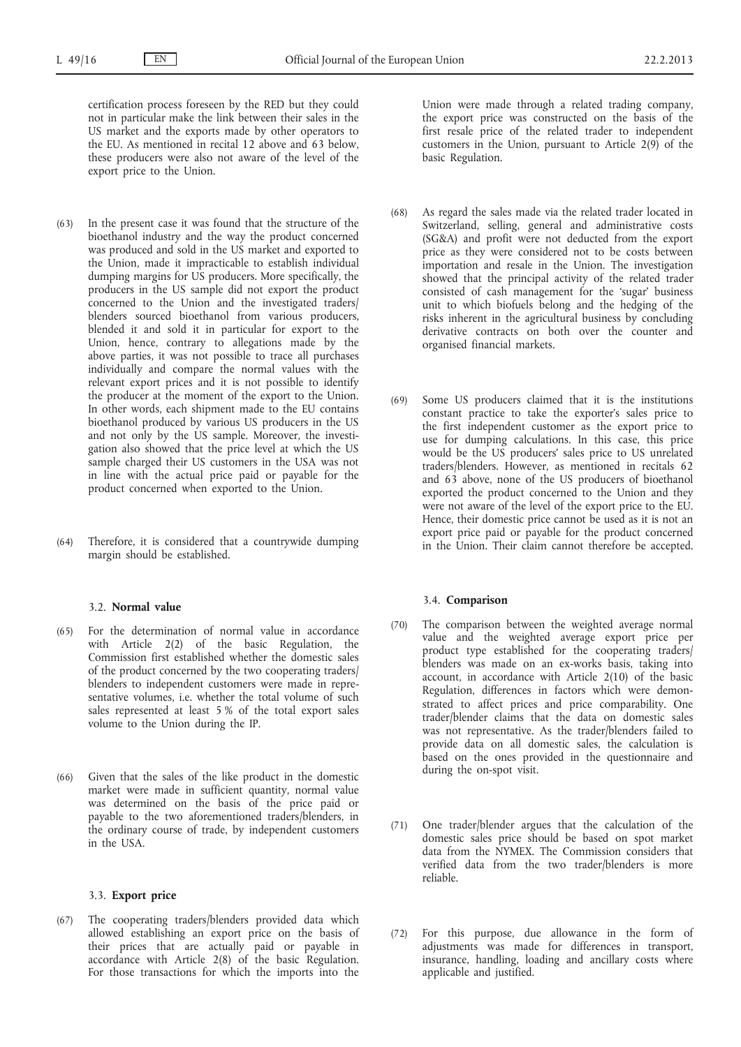certification process foreseen by the RED but they could not in particular make the link between their sales in the US market and the exports made by other operators to the EU. As mentioned in recital 12 above and 63 below, these producers were also not aware of the level of the export price to the Union.

- (63) In the present case it was found that the structure of the bioethanol industry and the way the product concerned was produced and sold in the US market and exported to the Union, made it impracticable to establish individual dumping margins for US producers. More specifically, the producers in the US sample did not export the product concerned to the Union and the investigated traders/ blenders sourced bioethanol from various producers, blended it and sold it in particular for export to the Union, hence, contrary to allegations made by the above parties, it was not possible to trace all purchases individually and compare the normal values with the relevant export prices and it is not possible to identify the producer at the moment of the export to the Union. In other words, each shipment made to the EU contains bioethanol produced by various US producers in the US and not only by the US sample. Moreover, the investigation also showed that the price level at which the US sample charged their US customers in the USA was not in line with the actual price paid or payable for the product concerned when exported to the Union.
- (64) Therefore, it is considered that a countrywide dumping margin should be established.

# 3.2. **Normal value**

- (65) For the determination of normal value in accordance with Article 2(2) of the basic Regulation, the Commission first established whether the domestic sales of the product concerned by the two cooperating traders/ blenders to independent customers were made in representative volumes, i.e. whether the total volume of such sales represented at least 5 % of the total export sales volume to the Union during the IP.
- (66) Given that the sales of the like product in the domestic market were made in sufficient quantity, normal value was determined on the basis of the price paid or payable to the two aforementioned traders/blenders, in the ordinary course of trade, by independent customers in the USA.

#### 3.3. **Export price**

(67) The cooperating traders/blenders provided data which allowed establishing an export price on the basis of their prices that are actually paid or payable in accordance with Article 2(8) of the basic Regulation. For those transactions for which the imports into the

Union were made through a related trading company, the export price was constructed on the basis of the first resale price of the related trader to independent customers in the Union, pursuant to Article  $2(9)$  of the basic Regulation.

- (68) As regard the sales made via the related trader located in Switzerland, selling, general and administrative costs (SG&A) and profit were not deducted from the export price as they were considered not to be costs between importation and resale in the Union. The investigation showed that the principal activity of the related trader consisted of cash management for the 'sugar' business unit to which biofuels belong and the hedging of the risks inherent in the agricultural business by concluding derivative contracts on both over the counter and organised financial markets.
- (69) Some US producers claimed that it is the institutions constant practice to take the exporter's sales price to the first independent customer as the export price to use for dumping calculations. In this case, this price would be the US producers' sales price to US unrelated traders/blenders. However, as mentioned in recitals 62 and 63 above, none of the US producers of bioethanol exported the product concerned to the Union and they were not aware of the level of the export price to the EU. Hence, their domestic price cannot be used as it is not an export price paid or payable for the product concerned in the Union. Their claim cannot therefore be accepted.

#### 3.4. **Comparison**

- (70) The comparison between the weighted average normal value and the weighted average export price per product type established for the cooperating traders/ blenders was made on an ex-works basis, taking into account, in accordance with Article 2(10) of the basic Regulation, differences in factors which were demonstrated to affect prices and price comparability. One trader/blender claims that the data on domestic sales was not representative. As the trader/blenders failed to provide data on all domestic sales, the calculation is based on the ones provided in the questionnaire and during the on-spot visit.
- (71) One trader/blender argues that the calculation of the domestic sales price should be based on spot market data from the NYMEX. The Commission considers that verified data from the two trader/blenders is more reliable.
- (72) For this purpose, due allowance in the form of adjustments was made for differences in transport, insurance, handling, loading and ancillary costs where applicable and justified.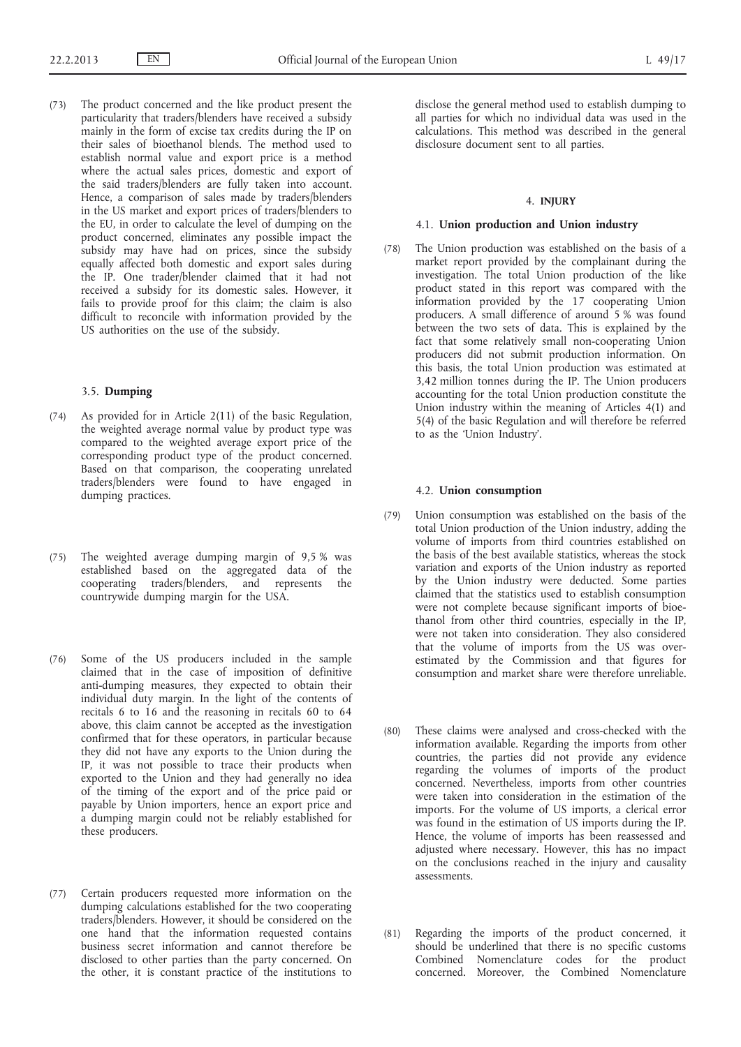(73) The product concerned and the like product present the particularity that traders/blenders have received a subsidy mainly in the form of excise tax credits during the IP on their sales of bioethanol blends. The method used to establish normal value and export price is a method where the actual sales prices, domestic and export of the said traders/blenders are fully taken into account. Hence, a comparison of sales made by traders/blenders in the US market and export prices of traders/blenders to the EU, in order to calculate the level of dumping on the product concerned, eliminates any possible impact the subsidy may have had on prices, since the subsidy equally affected both domestic and export sales during the IP. One trader/blender claimed that it had not received a subsidy for its domestic sales. However, it fails to provide proof for this claim; the claim is also difficult to reconcile with information provided by the US authorities on the use of the subsidy.

## 3.5. **Dumping**

- (74) As provided for in Article 2(11) of the basic Regulation, the weighted average normal value by product type was compared to the weighted average export price of the corresponding product type of the product concerned. Based on that comparison, the cooperating unrelated traders/blenders were found to have engaged in dumping practices.
- (75) The weighted average dumping margin of 9,5 % was established based on the aggregated data of the cooperating traders/blenders, and represents the countrywide dumping margin for the USA.
- (76) Some of the US producers included in the sample claimed that in the case of imposition of definitive anti-dumping measures, they expected to obtain their individual duty margin. In the light of the contents of recitals 6 to 16 and the reasoning in recitals 60 to 64 above, this claim cannot be accepted as the investigation confirmed that for these operators, in particular because they did not have any exports to the Union during the IP, it was not possible to trace their products when exported to the Union and they had generally no idea of the timing of the export and of the price paid or payable by Union importers, hence an export price and a dumping margin could not be reliably established for these producers.
- (77) Certain producers requested more information on the dumping calculations established for the two cooperating traders/blenders. However, it should be considered on the one hand that the information requested contains business secret information and cannot therefore be disclosed to other parties than the party concerned. On the other, it is constant practice of the institutions to

disclose the general method used to establish dumping to all parties for which no individual data was used in the calculations. This method was described in the general disclosure document sent to all parties.

#### 4. **INJURY**

#### 4.1. **Union production and Union industry**

(78) The Union production was established on the basis of a market report provided by the complainant during the investigation. The total Union production of the like product stated in this report was compared with the information provided by the 17 cooperating Union producers. A small difference of around 5 % was found between the two sets of data. This is explained by the fact that some relatively small non-cooperating Union producers did not submit production information. On this basis, the total Union production was estimated at 3,42 million tonnes during the IP. The Union producers accounting for the total Union production constitute the Union industry within the meaning of Articles 4(1) and 5(4) of the basic Regulation and will therefore be referred to as the 'Union Industry'.

#### 4.2. **Union consumption**

- (79) Union consumption was established on the basis of the total Union production of the Union industry, adding the volume of imports from third countries established on the basis of the best available statistics, whereas the stock variation and exports of the Union industry as reported by the Union industry were deducted. Some parties claimed that the statistics used to establish consumption were not complete because significant imports of bioethanol from other third countries, especially in the IP, were not taken into consideration. They also considered that the volume of imports from the US was overestimated by the Commission and that figures for consumption and market share were therefore unreliable.
- (80) These claims were analysed and cross-checked with the information available. Regarding the imports from other countries, the parties did not provide any evidence regarding the volumes of imports of the product concerned. Nevertheless, imports from other countries were taken into consideration in the estimation of the imports. For the volume of US imports, a clerical error was found in the estimation of US imports during the IP. Hence, the volume of imports has been reassessed and adjusted where necessary. However, this has no impact on the conclusions reached in the injury and causality assessments.
- (81) Regarding the imports of the product concerned, it should be underlined that there is no specific customs Combined Nomenclature codes for the product concerned. Moreover, the Combined Nomenclature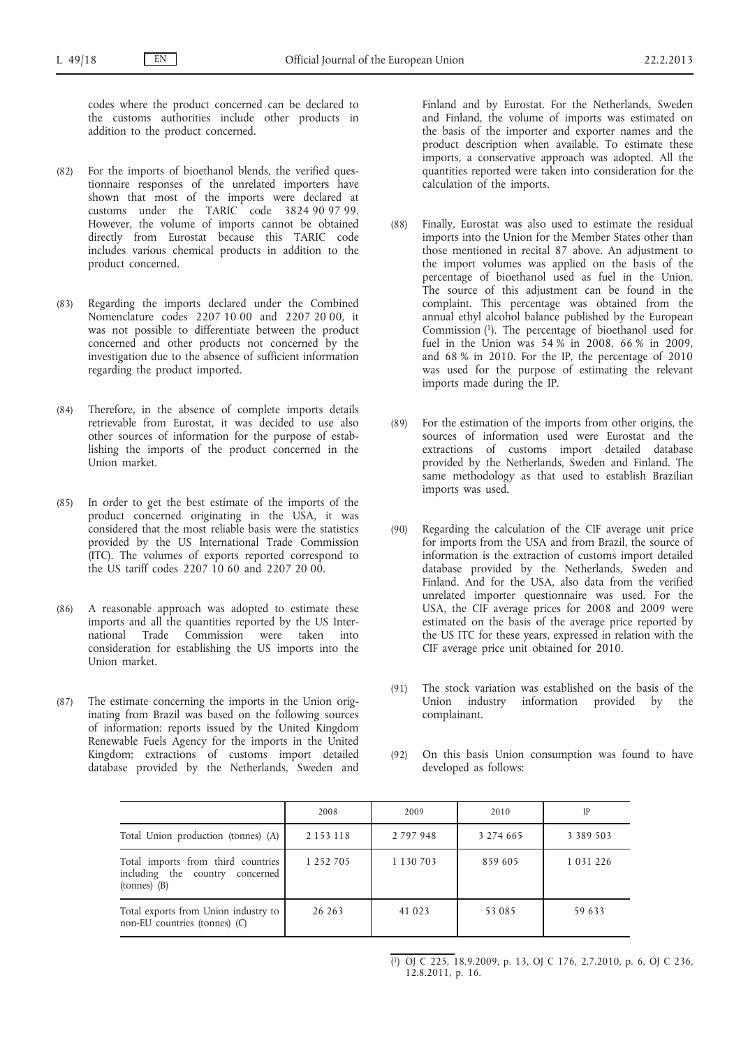codes where the product concerned can be declared to the customs authorities include other products in addition to the product concerned.

- (82) For the imports of bioethanol blends, the verified questionnaire responses of the unrelated importers have shown that most of the imports were declared at customs under the TARIC code 3824 90 97 99. However, the volume of imports cannot be obtained directly from Eurostat because this TARIC code includes various chemical products in addition to the product concerned.
- (83) Regarding the imports declared under the Combined Nomenclature codes 2207 10 00 and 2207 20 00, it was not possible to differentiate between the product concerned and other products not concerned by the investigation due to the absence of sufficient information regarding the product imported.
- (84) Therefore, in the absence of complete imports details retrievable from Eurostat, it was decided to use also other sources of information for the purpose of establishing the imports of the product concerned in the Union market.
- (85) In order to get the best estimate of the imports of the product concerned originating in the USA, it was considered that the most reliable basis were the statistics provided by the US International Trade Commission (ITC). The volumes of exports reported correspond to the US tariff codes 2207 10 60 and 2207 20 00.
- (86) A reasonable approach was adopted to estimate these imports and all the quantities reported by the US International Trade Commission were taken into consideration for establishing the US imports into the Union market.
- (87) The estimate concerning the imports in the Union originating from Brazil was based on the following sources of information: reports issued by the United Kingdom Renewable Fuels Agency for the imports in the United Kingdom; extractions of customs import detailed database provided by the Netherlands, Sweden and

Finland and by Eurostat. For the Netherlands, Sweden and Finland, the volume of imports was estimated on the basis of the importer and exporter names and the product description when available. To estimate these imports, a conservative approach was adopted. All the quantities reported were taken into consideration for the calculation of the imports.

- (88) Finally, Eurostat was also used to estimate the residual imports into the Union for the Member States other than those mentioned in recital 87 above. An adjustment to the import volumes was applied on the basis of the percentage of bioethanol used as fuel in the Union. The source of this adjustment can be found in the complaint. This percentage was obtained from the annual ethyl alcohol balance published by the European Commission (1). The percentage of bioethanol used for fuel in the Union was 54 % in 2008, 66 % in 2009, and 68 % in 2010. For the IP, the percentage of 2010 was used for the purpose of estimating the relevant imports made during the IP.
- (89) For the estimation of the imports from other origins, the sources of information used were Eurostat and the extractions of customs import detailed database provided by the Netherlands, Sweden and Finland. The same methodology as that used to establish Brazilian imports was used.
- (90) Regarding the calculation of the CIF average unit price for imports from the USA and from Brazil, the source of information is the extraction of customs import detailed database provided by the Netherlands, Sweden and Finland. And for the USA, also data from the verified unrelated importer questionnaire was used. For the USA, the CIF average prices for 2008 and 2009 were estimated on the basis of the average price reported by the US ITC for these years, expressed in relation with the CIF average price unit obtained for 2010.
- (91) The stock variation was established on the basis of the Union industry information provided by the complainant.
- (92) On this basis Union consumption was found to have developed as follows:

|                                                                                           | 2008          | 2009          | 2010          | IP            |
|-------------------------------------------------------------------------------------------|---------------|---------------|---------------|---------------|
| Total Union production (tonnes) (A)                                                       | 2 1 5 3 1 1 8 | 2 7 9 7 9 4 8 | 3 2 7 4 6 6 5 | 3 3 8 9 5 0 3 |
| Total imports from third countries<br>including the country concerned<br>$(hannes)$ $(B)$ | 1 252 705     | 1 1 3 0 7 0 3 | 859 605       | 1 0 3 1 2 2 6 |
| Total exports from Union industry to<br>non-EU countries (tonnes) (C)                     | 26 26 3       | 41 023        | 53 085        | 59 633        |

<sup>(</sup> 1) OJ C 225, 18.9.2009, p. 13, OJ C 176, 2.7.2010, p. 6, OJ C 236, 12.8.2011, p. 16.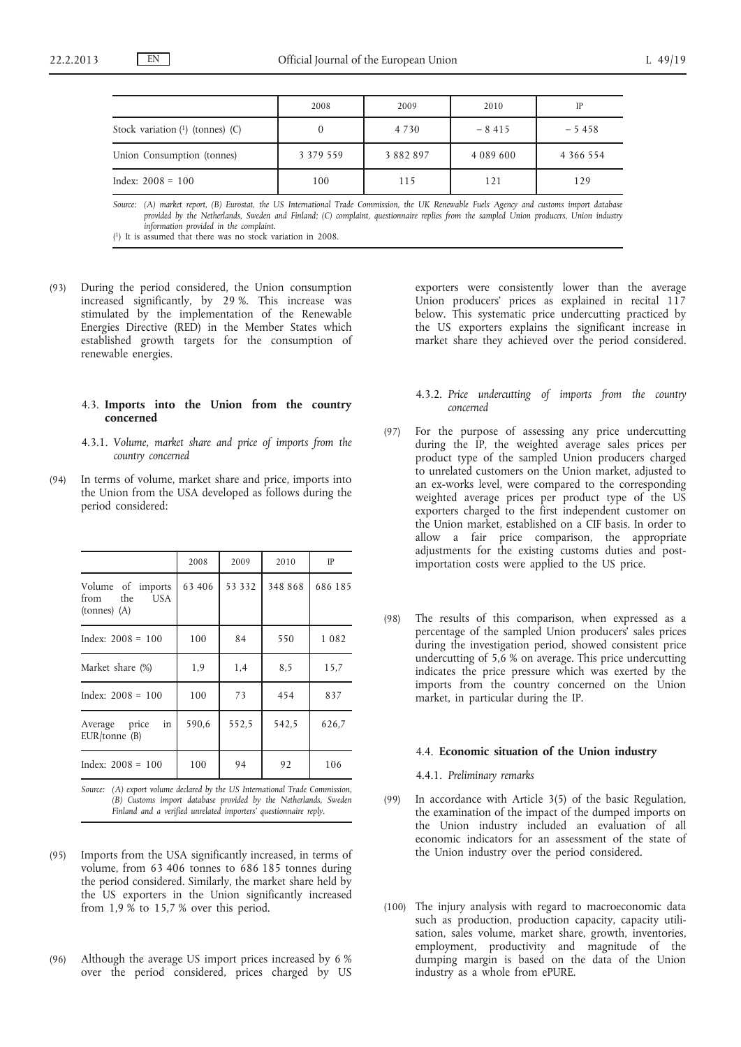|                                      | 2008          | 2009      | 2010          | IP            |
|--------------------------------------|---------------|-----------|---------------|---------------|
| Stock variation $(1)$ (tonnes) $(C)$ |               | 4 7 3 0   | $-8415$       | $-5458$       |
| Union Consumption (tonnes)           | 3 3 7 9 5 5 9 | 3 882 897 | 4 0 8 9 6 0 0 | 4 3 6 6 5 5 4 |
| Index: $2008 = 100$                  | 100           | 115       | 121           | 129           |

*Source: (A) market report, (B) Eurostat, the US International Trade Commission, the UK Renewable Fuels Agency and customs import database provided by the Netherlands, Sweden and Finland; (C) complaint, questionnaire replies from the sampled Union producers, Union industry information provided in the complaint.*

( 1) It is assumed that there was no stock variation in 2008.

(93) During the period considered, the Union consumption increased significantly, by 29 %. This increase was stimulated by the implementation of the Renewable Energies Directive (RED) in the Member States which established growth targets for the consumption of renewable energies.

#### 4.3. **Imports into the Union from the country concerned**

- 4.3.1. *Volume, market share and price of imports from the country concerned*
- (94) In terms of volume, market share and price, imports into the Union from the USA developed as follows during the period considered:

|                                                              | 2008   | 2009   | 2010    | IP      |
|--------------------------------------------------------------|--------|--------|---------|---------|
| Volume of imports<br>the<br>US A<br>from<br>$(hannes)$ $(A)$ | 63 406 | 53 332 | 348 868 | 686 185 |
| Index: $2008 = 100$                                          | 100    | 84     | 550     | 1082    |
| Market share (%)                                             | 1,9    | 1,4    | 8,5     | 15,7    |
| Index: $2008 = 100$                                          | 100    | 73     | 454     | 837     |
| in<br>Average price<br>$EUR/tonne$ (B)                       | 590,6  | 552,5  | 542,5   | 626,7   |
| Index: $2008 = 100$                                          | 100    | 94     | 92      | 106     |

*Source: (A) export volume declared by the US International Trade Commission, (B) Customs import database provided by the Netherlands, Sweden Finland and a verified unrelated importers' questionnaire reply.*

- (95) Imports from the USA significantly increased, in terms of volume, from 63 406 tonnes to 686 185 tonnes during the period considered. Similarly, the market share held by the US exporters in the Union significantly increased from 1,9 % to 15,7 % over this period.
- (96) Although the average US import prices increased by 6 % over the period considered, prices charged by US

exporters were consistently lower than the average Union producers' prices as explained in recital 117 below. This systematic price undercutting practiced by the US exporters explains the significant increase in market share they achieved over the period considered.

- 4.3.2. *Price undercutting of imports from the country concerned*
- (97) For the purpose of assessing any price undercutting during the IP, the weighted average sales prices per product type of the sampled Union producers charged to unrelated customers on the Union market, adjusted to an ex-works level, were compared to the corresponding weighted average prices per product type of the US exporters charged to the first independent customer on the Union market, established on a CIF basis. In order to allow a fair price comparison, the appropriate adjustments for the existing customs duties and postimportation costs were applied to the US price.
- (98) The results of this comparison, when expressed as a percentage of the sampled Union producers' sales prices during the investigation period, showed consistent price undercutting of 5,6 % on average. This price undercutting indicates the price pressure which was exerted by the imports from the country concerned on the Union market, in particular during the IP.

#### 4.4. **Economic situation of the Union industry**

4.4.1. *Preliminary remarks*

- (99) In accordance with Article 3(5) of the basic Regulation, the examination of the impact of the dumped imports on the Union industry included an evaluation of all economic indicators for an assessment of the state of the Union industry over the period considered.
- (100) The injury analysis with regard to macroeconomic data such as production, production capacity, capacity utilisation, sales volume, market share, growth, inventories, employment, productivity and magnitude of the dumping margin is based on the data of the Union industry as a whole from ePURE.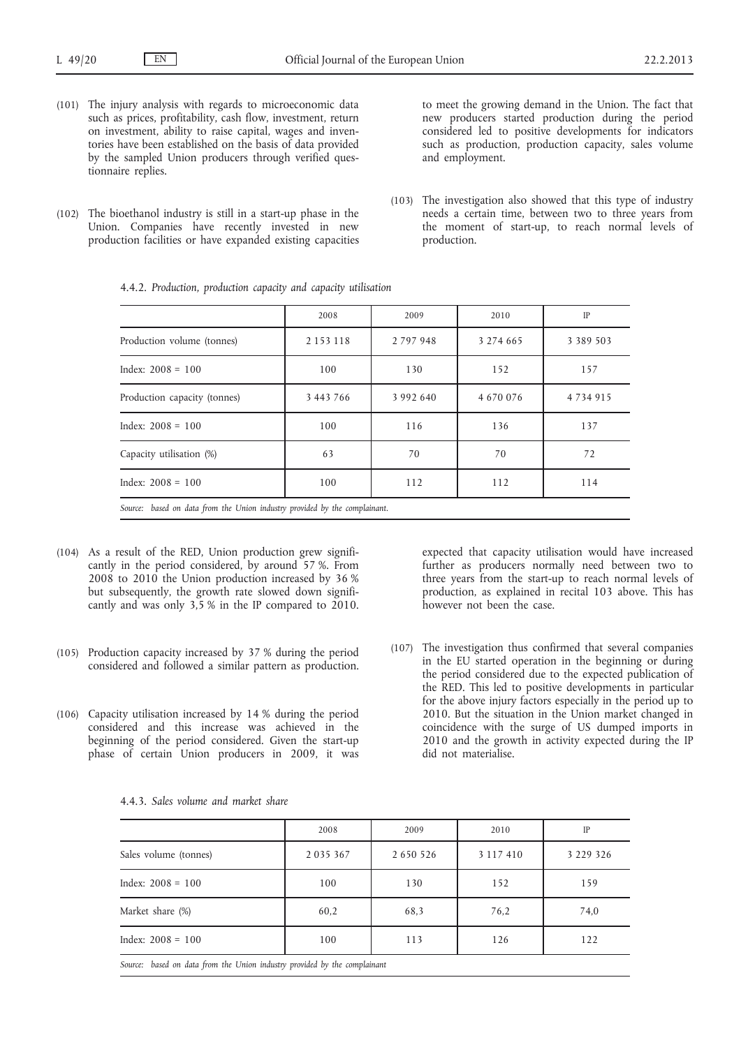- (101) The injury analysis with regards to microeconomic data such as prices, profitability, cash flow, investment, return on investment, ability to raise capital, wages and inventories have been established on the basis of data provided by the sampled Union producers through verified questionnaire replies.
- (102) The bioethanol industry is still in a start-up phase in the Union. Companies have recently invested in new production facilities or have expanded existing capacities

to meet the growing demand in the Union. The fact that new producers started production during the period considered led to positive developments for indicators such as production, production capacity, sales volume and employment.

(103) The investigation also showed that this type of industry needs a certain time, between two to three years from the moment of start-up, to reach normal levels of production.

|                                                                            | 2008          | 2009          | 2010      | <b>IP</b>     |
|----------------------------------------------------------------------------|---------------|---------------|-----------|---------------|
| Production volume (tonnes)                                                 | 2 1 5 3 1 1 8 | 2 7 9 7 9 4 8 | 3 274 665 | 3 3 8 9 5 0 3 |
| Index: $2008 = 100$                                                        | 100           | 130           | 152       | 157           |
| Production capacity (tonnes)                                               | 3 443 766     | 3 992 640     | 4 670 076 | 4734915       |
| $Index: 2008 = 100$                                                        | 100           | 116           | 136       | 137           |
| Capacity utilisation (%)                                                   | 63            | 70            | 70        | 72            |
| Index: $2008 = 100$                                                        | 100           | 112           | 112       | 114           |
| Source: based on data from the Union industry provided by the complainant. |               |               |           |               |

4.4.2. *Production, production capacity and capacity utilisation*

- (104) As a result of the RED, Union production grew significantly in the period considered, by around 57 %. From 2008 to 2010 the Union production increased by 36 % but subsequently, the growth rate slowed down significantly and was only 3,5 % in the IP compared to 2010.
- (105) Production capacity increased by 37 % during the period considered and followed a similar pattern as production.
- (106) Capacity utilisation increased by 14 % during the period considered and this increase was achieved in the beginning of the period considered. Given the start-up phase of certain Union producers in 2009, it was

expected that capacity utilisation would have increased further as producers normally need between two to three years from the start-up to reach normal levels of production, as explained in recital 103 above. This has however not been the case.

(107) The investigation thus confirmed that several companies in the EU started operation in the beginning or during the period considered due to the expected publication of the RED. This led to positive developments in particular for the above injury factors especially in the period up to 2010. But the situation in the Union market changed in coincidence with the surge of US dumped imports in 2010 and the growth in activity expected during the IP did not materialise.

|                                                                           | 2008    | 2009          | 2010      | IP            |
|---------------------------------------------------------------------------|---------|---------------|-----------|---------------|
| Sales volume (tonnes)                                                     | 2035367 | 2 6 5 0 5 2 6 | 3 117 410 | 3 2 2 9 3 2 6 |
| Index: $2008 = 100$                                                       | 100     | 130           | 152       | 159           |
| Market share (%)                                                          | 60,2    | 68,3          | 76,2      | 74,0          |
| Index: $2008 = 100$                                                       | 100     | 113           | 126       | 122           |
| Source: based on data from the Union industry provided by the complainant |         |               |           |               |

|  | 4.4.3. Sales volume and market share |  |  |
|--|--------------------------------------|--|--|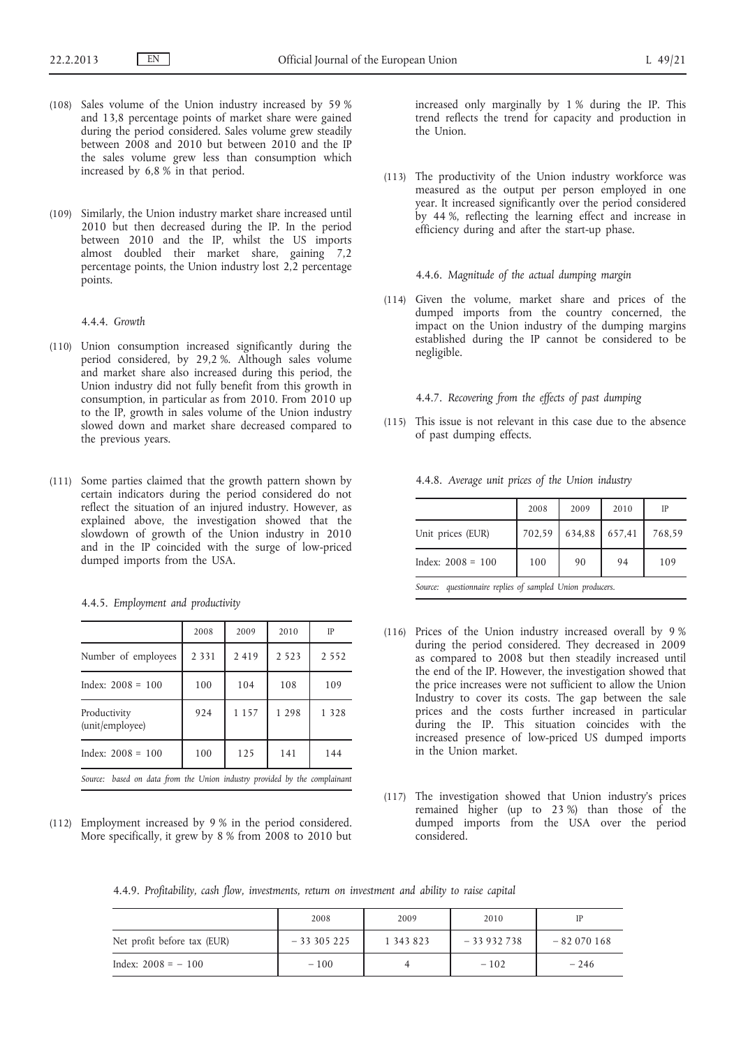- (108) Sales volume of the Union industry increased by 59 % and 13,8 percentage points of market share were gained during the period considered. Sales volume grew steadily between 2008 and 2010 but between 2010 and the IP the sales volume grew less than consumption which increased by 6,8 % in that period.
- (109) Similarly, the Union industry market share increased until 2010 but then decreased during the IP. In the period between 2010 and the IP, whilst the US imports almost doubled their market share, gaining 7,2 percentage points, the Union industry lost 2,2 percentage points.

# 4.4.4. *Growth*

- (110) Union consumption increased significantly during the period considered, by 29,2 %. Although sales volume and market share also increased during this period, the Union industry did not fully benefit from this growth in consumption, in particular as from 2010. From 2010 up to the IP, growth in sales volume of the Union industry slowed down and market share decreased compared to the previous years.
- (111) Some parties claimed that the growth pattern shown by certain indicators during the period considered do not reflect the situation of an injured industry. However, as explained above, the investigation showed that the slowdown of growth of the Union industry in 2010 and in the IP coincided with the surge of low-priced dumped imports from the USA.

|                                                                              | 2008    | 2009    | 2010    | IP      |
|------------------------------------------------------------------------------|---------|---------|---------|---------|
| Number of employees                                                          | 2 3 3 1 | 2 4 1 9 | 2 5 2 3 | 2 5 5 2 |
| Index: $2008 = 100$                                                          | 100     | 104     | 108     | 109     |
| Productivity<br>(unit/employee)                                              | 924     | 1 1 5 7 | 1 2 9 8 | 1 3 2 8 |
| Index: $2008 = 100$                                                          | 100     | 125     | 141     | 144     |
| based on data from the Union industry provided by the complainant<br>Source: |         |         |         |         |

4.4.5. *Employment and productivity*

(112) Employment increased by 9 % in the period considered. More specifically, it grew by 8 % from 2008 to 2010 but increased only marginally by 1 % during the IP. This trend reflects the trend for capacity and production in the Union.

(113) The productivity of the Union industry workforce was measured as the output per person employed in one year. It increased significantly over the period considered by 44 %, reflecting the learning effect and increase in efficiency during and after the start-up phase.

## 4.4.6. *Magnitude of the actual dumping margin*

(114) Given the volume, market share and prices of the dumped imports from the country concerned, the impact on the Union industry of the dumping margins established during the IP cannot be considered to be negligible.

## 4.4.7. *Recovering from the effects of past dumping*

(115) This issue is not relevant in this case due to the absence of past dumping effects.

4.4.8. *Average unit prices of the Union industry*

|                     | 2008   | 2009   | 2010   | IP     |
|---------------------|--------|--------|--------|--------|
| Unit prices (EUR)   | 702,59 | 634,88 | 657,41 | 768.59 |
| Index: $2008 = 100$ | 100    | 90     | 94     | 109    |

*Source: questionnaire replies of sampled Union producers.*

- (116) Prices of the Union industry increased overall by 9 % during the period considered. They decreased in 2009 as compared to 2008 but then steadily increased until the end of the IP. However, the investigation showed that the price increases were not sufficient to allow the Union Industry to cover its costs. The gap between the sale prices and the costs further increased in particular during the IP. This situation coincides with the increased presence of low-priced US dumped imports in the Union market.
- (117) The investigation showed that Union industry's prices remained higher (up to 23 %) than those of the dumped imports from the USA over the period considered.

4.4.9. *Profitability, cash flow, investments, return on investment and ability to raise capital*

|                             | 2008        | 2009      | 2010        | IP          |
|-----------------------------|-------------|-----------|-------------|-------------|
| Net profit before tax (EUR) | $-33305225$ | 1 343 823 | $-33932738$ | $-82070168$ |
| Index: $2008 = -100$        | $-100$      |           | $-102$      | $-246$      |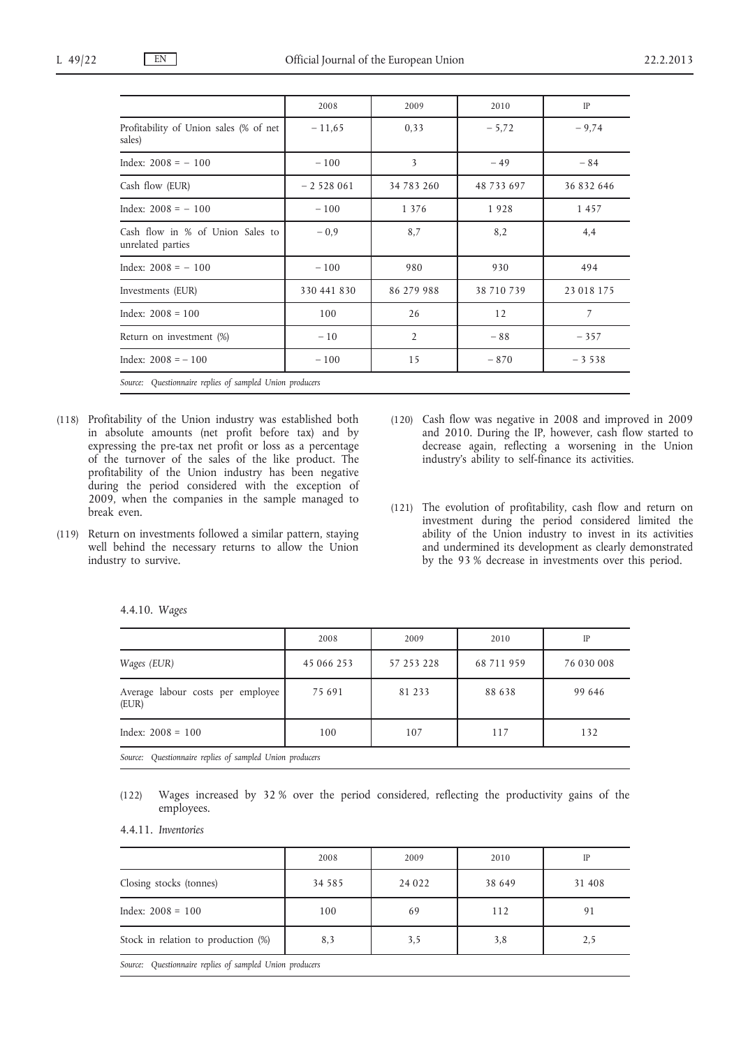|                                                          | 2008        | 2009                    | 2010       | IP         |
|----------------------------------------------------------|-------------|-------------------------|------------|------------|
| Profitability of Union sales (% of net<br>sales)         | $-11,65$    | 0,33                    | $-5,72$    | $-9,74$    |
| Index: $2008 = -100$                                     | $-100$      | $\overline{\mathbf{3}}$ | $-49$      | $-84$      |
| Cash flow (EUR)                                          | $-2528061$  | 34 783 260              | 48 733 697 | 36 832 646 |
| Index: $2008 = -100$                                     | $-100$      | 1 3 7 6                 | 1928       | 1457       |
| Cash flow in % of Union Sales to<br>unrelated parties    | $-0.9$      | 8,7                     | 8,2        | 4,4        |
| Index: $2008 = -100$                                     | $-100$      | 980                     | 930        | 494        |
| Investments (EUR)                                        | 330 441 830 | 86 279 988              | 38 710 739 | 23 018 175 |
| Index: $2008 = 100$                                      | 100         | 26                      | 12         | 7          |
| Return on investment (%)                                 | $-10$       | $\overline{2}$          | $-88$      | $-357$     |
| Index: $2008 = -100$                                     | $-100$      | 15                      | $-870$     | $-3538$    |
| Source: Questionnaire replies of sampled Union producers |             |                         |            |            |

- (118) Profitability of the Union industry was established both in absolute amounts (net profit before tax) and by expressing the pre-tax net profit or loss as a percentage of the turnover of the sales of the like product. The profitability of the Union industry has been negative during the period considered with the exception of 2009, when the companies in the sample managed to break even.
- (119) Return on investments followed a similar pattern, staying well behind the necessary returns to allow the Union industry to survive.
- (120) Cash flow was negative in 2008 and improved in 2009 and 2010. During the IP, however, cash flow started to decrease again, reflecting a worsening in the Union industry's ability to self-finance its activities.
- (121) The evolution of profitability, cash flow and return on investment during the period considered limited the ability of the Union industry to invest in its activities and undermined its development as clearly demonstrated by the 93 % decrease in investments over this period.

|                                                          | 2008       | 2009       | 2010       | IP         |
|----------------------------------------------------------|------------|------------|------------|------------|
| Wages (EUR)                                              | 45 066 253 | 57 253 228 | 68 711 959 | 76 030 008 |
| Average labour costs per employee<br>(EUR)               | 75 691     | 81 233     | 88 638     | 99 646     |
| Index: $2008 = 100$                                      | 100        | 107        | 117        | 132        |
| Source: Questionnaire replies of sampled Union producers |            |            |            |            |

|  | 4.4.10. Wages |  |
|--|---------------|--|
|--|---------------|--|

(122) Wages increased by 32 % over the period considered, reflecting the productivity gains of the employees.

4.4.11. *Inventories*

|                                                          | 2008     | 2009    | 2010   | IP     |
|----------------------------------------------------------|----------|---------|--------|--------|
| Closing stocks (tonnes)                                  | 34 5 8 5 | 24 0 22 | 38 649 | 31 408 |
| Index: $2008 = 100$                                      | 100      | 69      | 112    | 91     |
| Stock in relation to production (%)                      | 8,3      | 3,5     | 3,8    | 2,5    |
| Source: Questionnaire replies of sampled Union producers |          |         |        |        |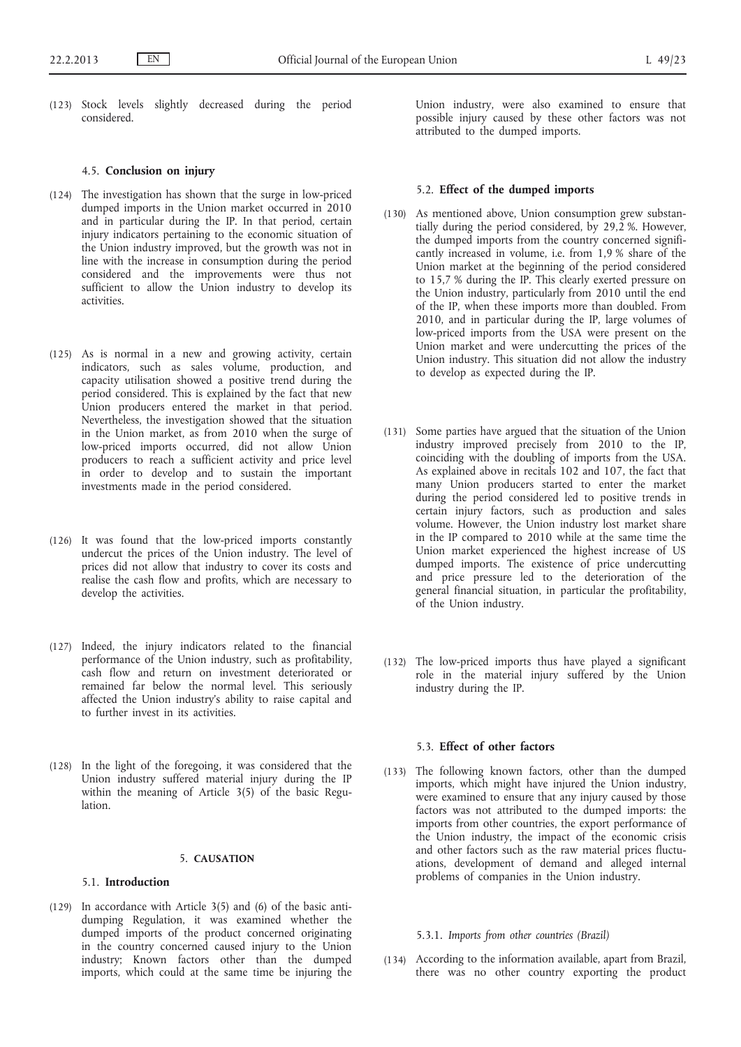(123) Stock levels slightly decreased during the period considered.

## 4.5. **Conclusion on injury**

- (124) The investigation has shown that the surge in low-priced dumped imports in the Union market occurred in 2010 and in particular during the IP. In that period, certain injury indicators pertaining to the economic situation of the Union industry improved, but the growth was not in line with the increase in consumption during the period considered and the improvements were thus not sufficient to allow the Union industry to develop its activities.
- (125) As is normal in a new and growing activity, certain indicators, such as sales volume, production, and capacity utilisation showed a positive trend during the period considered. This is explained by the fact that new Union producers entered the market in that period. Nevertheless, the investigation showed that the situation in the Union market, as from 2010 when the surge of low-priced imports occurred, did not allow Union producers to reach a sufficient activity and price level in order to develop and to sustain the important investments made in the period considered.
- (126) It was found that the low-priced imports constantly undercut the prices of the Union industry. The level of prices did not allow that industry to cover its costs and realise the cash flow and profits, which are necessary to develop the activities.
- (127) Indeed, the injury indicators related to the financial performance of the Union industry, such as profitability, cash flow and return on investment deteriorated or remained far below the normal level. This seriously affected the Union industry's ability to raise capital and to further invest in its activities.
- (128) In the light of the foregoing, it was considered that the Union industry suffered material injury during the IP within the meaning of Article 3(5) of the basic Regulation.

## 5. **CAUSATION**

## 5.1. **Introduction**

(129) In accordance with Article 3(5) and (6) of the basic antidumping Regulation, it was examined whether the dumped imports of the product concerned originating in the country concerned caused injury to the Union industry; Known factors other than the dumped imports, which could at the same time be injuring the Union industry, were also examined to ensure that possible injury caused by these other factors was not attributed to the dumped imports.

#### 5.2. **Effect of the dumped imports**

- (130) As mentioned above, Union consumption grew substantially during the period considered, by 29,2 %. However, the dumped imports from the country concerned significantly increased in volume, i.e. from 1,9 % share of the Union market at the beginning of the period considered to 15,7 % during the IP. This clearly exerted pressure on the Union industry, particularly from 2010 until the end of the IP, when these imports more than doubled. From 2010, and in particular during the IP, large volumes of low-priced imports from the USA were present on the Union market and were undercutting the prices of the Union industry. This situation did not allow the industry to develop as expected during the IP.
- (131) Some parties have argued that the situation of the Union industry improved precisely from 2010 to the IP, coinciding with the doubling of imports from the USA. As explained above in recitals 102 and 107, the fact that many Union producers started to enter the market during the period considered led to positive trends in certain injury factors, such as production and sales volume. However, the Union industry lost market share in the IP compared to 2010 while at the same time the Union market experienced the highest increase of US dumped imports. The existence of price undercutting and price pressure led to the deterioration of the general financial situation, in particular the profitability, of the Union industry.
- (132) The low-priced imports thus have played a significant role in the material injury suffered by the Union industry during the IP.

## 5.3. **Effect of other factors**

(133) The following known factors, other than the dumped imports, which might have injured the Union industry, were examined to ensure that any injury caused by those factors was not attributed to the dumped imports: the imports from other countries, the export performance of the Union industry, the impact of the economic crisis and other factors such as the raw material prices fluctuations, development of demand and alleged internal problems of companies in the Union industry.

# 5.3.1. *Imports from other countries (Brazil)*

(134) According to the information available, apart from Brazil, there was no other country exporting the product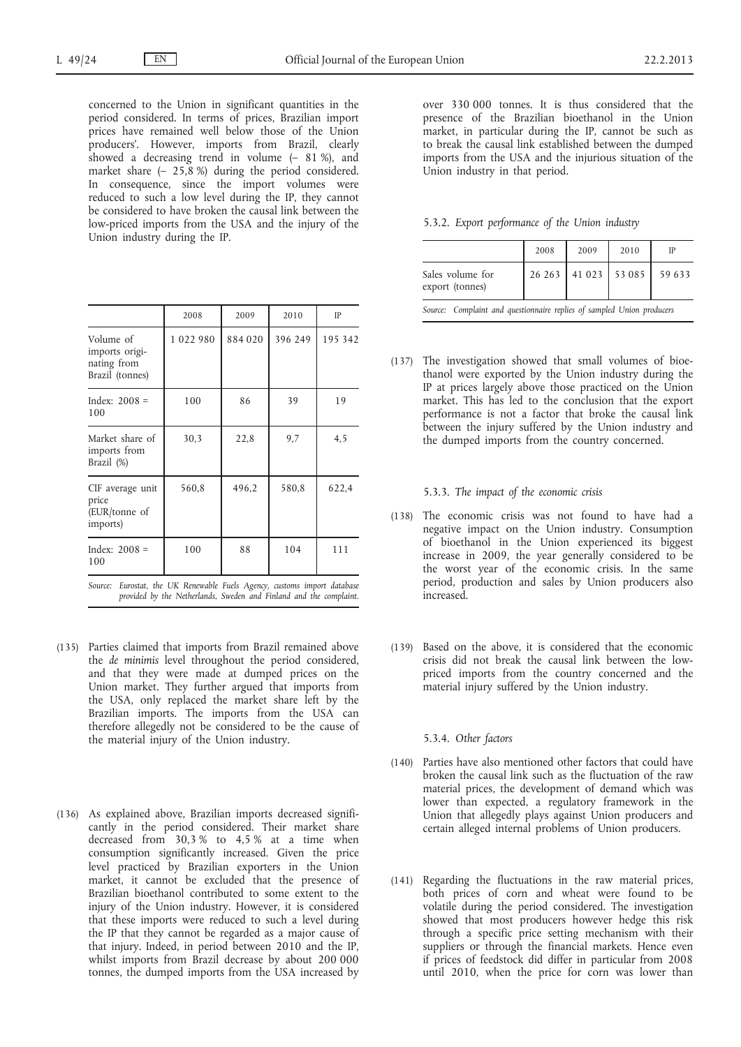concerned to the Union in significant quantities in the period considered. In terms of prices, Brazilian import prices have remained well below those of the Union producers'. However, imports from Brazil, clearly showed a decreasing trend in volume  $(-81\%)$ , and market share (– 25,8 %) during the period considered. In consequence, since the import volumes were reduced to such a low level during the IP, they cannot be considered to have broken the causal link between the low-priced imports from the USA and the injury of the Union industry during the IP.

|                                                               | 2008    | 2009    | 2010    | IP      |
|---------------------------------------------------------------|---------|---------|---------|---------|
| Volume of<br>imports origi-<br>nating from<br>Brazil (tonnes) | 1022980 | 884 020 | 396 249 | 195 342 |
| Index: $2008 =$<br>100                                        | 100     | 86      | 39      | 19      |
| Market share of<br>imports from<br>Brazil (%)                 | 30,3    | 22,8    | 9,7     | 4,5     |
| CIF average unit<br>price<br>(EUR/tonne of<br>imports)        | 560,8   | 496,2   | 580,8   | 622,4   |
| Index: $2008 =$<br>100                                        | 100     | 88      | 104     | 111     |

*Source: Eurostat, the UK Renewable Fuels Agency, customs import database provided by the Netherlands, Sweden and Finland and the complaint.*

- (135) Parties claimed that imports from Brazil remained above the *de minimis* level throughout the period considered, and that they were made at dumped prices on the Union market. They further argued that imports from the USA, only replaced the market share left by the Brazilian imports. The imports from the USA can therefore allegedly not be considered to be the cause of the material injury of the Union industry.
- (136) As explained above, Brazilian imports decreased significantly in the period considered. Their market share decreased from 30,3 % to 4,5 % at a time when consumption significantly increased. Given the price level practiced by Brazilian exporters in the Union market, it cannot be excluded that the presence of Brazilian bioethanol contributed to some extent to the injury of the Union industry. However, it is considered that these imports were reduced to such a level during the IP that they cannot be regarded as a major cause of that injury. Indeed, in period between 2010 and the IP, whilst imports from Brazil decrease by about 200 000 tonnes, the dumped imports from the USA increased by

over 330 000 tonnes. It is thus considered that the presence of the Brazilian bioethanol in the Union market, in particular during the IP, cannot be such as to break the causal link established between the dumped imports from the USA and the injurious situation of the Union industry in that period.

5.3.2. *Export performance of the Union industry*

|                                                                        | 2008 | 2009                 | 2010 | IP     |
|------------------------------------------------------------------------|------|----------------------|------|--------|
| Sales volume for<br>export (tonnes)                                    |      | 26 263 41 023 53 085 |      | 59 633 |
| Source: Complaint and questionnaire replies of sampled Union producers |      |                      |      |        |

(137) The investigation showed that small volumes of bioethanol were exported by the Union industry during the IP at prices largely above those practiced on the Union market. This has led to the conclusion that the export performance is not a factor that broke the causal link between the injury suffered by the Union industry and the dumped imports from the country concerned.

5.3.3. *The impact of the economic crisis*

- (138) The economic crisis was not found to have had a negative impact on the Union industry. Consumption of bioethanol in the Union experienced its biggest increase in 2009, the year generally considered to be the worst year of the economic crisis. In the same period, production and sales by Union producers also increased.
- (139) Based on the above, it is considered that the economic crisis did not break the causal link between the lowpriced imports from the country concerned and the material injury suffered by the Union industry.

#### 5.3.4. *Other factors*

- (140) Parties have also mentioned other factors that could have broken the causal link such as the fluctuation of the raw material prices, the development of demand which was lower than expected, a regulatory framework in the Union that allegedly plays against Union producers and certain alleged internal problems of Union producers.
- (141) Regarding the fluctuations in the raw material prices, both prices of corn and wheat were found to be volatile during the period considered. The investigation showed that most producers however hedge this risk through a specific price setting mechanism with their suppliers or through the financial markets. Hence even if prices of feedstock did differ in particular from 2008 until 2010, when the price for corn was lower than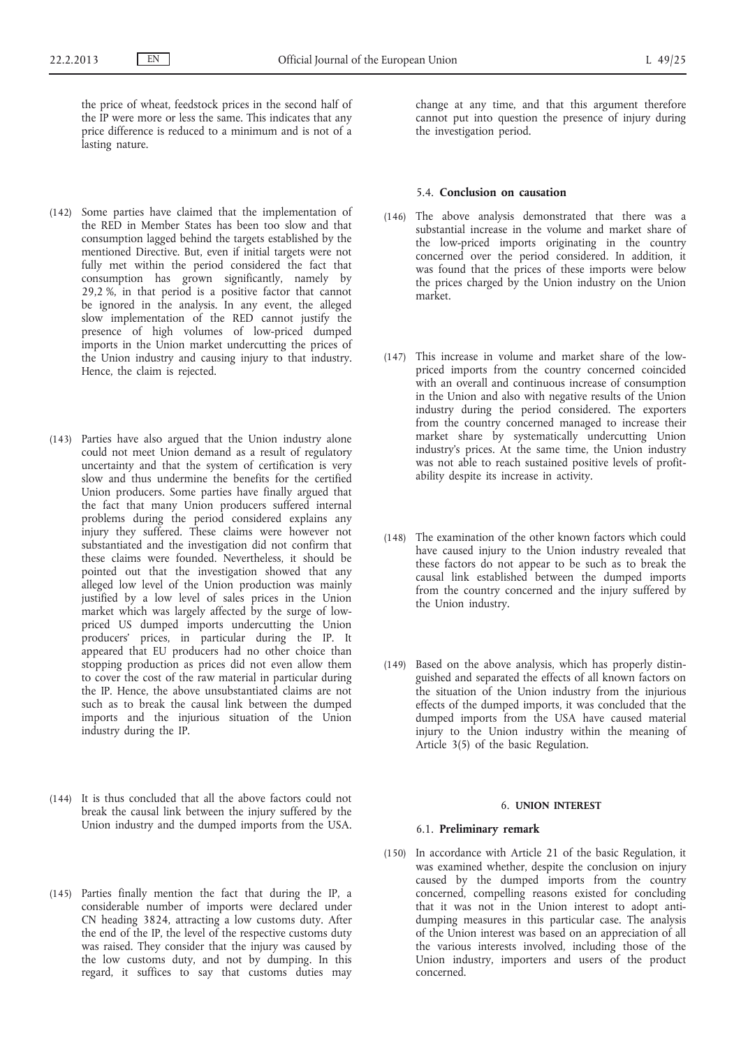the price of wheat, feedstock prices in the second half of the IP were more or less the same. This indicates that any price difference is reduced to a minimum and is not of a lasting nature.

- (142) Some parties have claimed that the implementation of the RED in Member States has been too slow and that consumption lagged behind the targets established by the mentioned Directive. But, even if initial targets were not fully met within the period considered the fact that consumption has grown significantly, namely by 29,2 %, in that period is a positive factor that cannot be ignored in the analysis. In any event, the alleged slow implementation of the RED cannot justify the presence of high volumes of low-priced dumped imports in the Union market undercutting the prices of the Union industry and causing injury to that industry. Hence, the claim is rejected.
- (143) Parties have also argued that the Union industry alone could not meet Union demand as a result of regulatory uncertainty and that the system of certification is very slow and thus undermine the benefits for the certified Union producers. Some parties have finally argued that the fact that many Union producers suffered internal problems during the period considered explains any injury they suffered. These claims were however not substantiated and the investigation did not confirm that these claims were founded. Nevertheless, it should be pointed out that the investigation showed that any alleged low level of the Union production was mainly justified by a low level of sales prices in the Union market which was largely affected by the surge of lowpriced US dumped imports undercutting the Union producers' prices, in particular during the IP. It appeared that EU producers had no other choice than stopping production as prices did not even allow them to cover the cost of the raw material in particular during the IP. Hence, the above unsubstantiated claims are not such as to break the causal link between the dumped imports and the injurious situation of the Union industry during the IP.
- (144) It is thus concluded that all the above factors could not break the causal link between the injury suffered by the Union industry and the dumped imports from the USA.
- (145) Parties finally mention the fact that during the IP, a considerable number of imports were declared under CN heading 3824, attracting a low customs duty. After the end of the IP, the level of the respective customs duty was raised. They consider that the injury was caused by the low customs duty, and not by dumping. In this regard, it suffices to say that customs duties may

change at any time, and that this argument therefore cannot put into question the presence of injury during the investigation period.

#### 5.4. **Conclusion on causation**

- (146) The above analysis demonstrated that there was a substantial increase in the volume and market share of the low-priced imports originating in the country concerned over the period considered. In addition, it was found that the prices of these imports were below the prices charged by the Union industry on the Union market.
- (147) This increase in volume and market share of the lowpriced imports from the country concerned coincided with an overall and continuous increase of consumption in the Union and also with negative results of the Union industry during the period considered. The exporters from the country concerned managed to increase their market share by systematically undercutting Union industry's prices. At the same time, the Union industry was not able to reach sustained positive levels of profitability despite its increase in activity.
- (148) The examination of the other known factors which could have caused injury to the Union industry revealed that these factors do not appear to be such as to break the causal link established between the dumped imports from the country concerned and the injury suffered by the Union industry.
- (149) Based on the above analysis, which has properly distinguished and separated the effects of all known factors on the situation of the Union industry from the injurious effects of the dumped imports, it was concluded that the dumped imports from the USA have caused material injury to the Union industry within the meaning of Article 3(5) of the basic Regulation.

#### 6. **UNION INTEREST**

#### 6.1. **Preliminary remark**

(150) In accordance with Article 21 of the basic Regulation, it was examined whether, despite the conclusion on injury caused by the dumped imports from the country concerned, compelling reasons existed for concluding that it was not in the Union interest to adopt antidumping measures in this particular case. The analysis of the Union interest was based on an appreciation of all the various interests involved, including those of the Union industry, importers and users of the product concerned.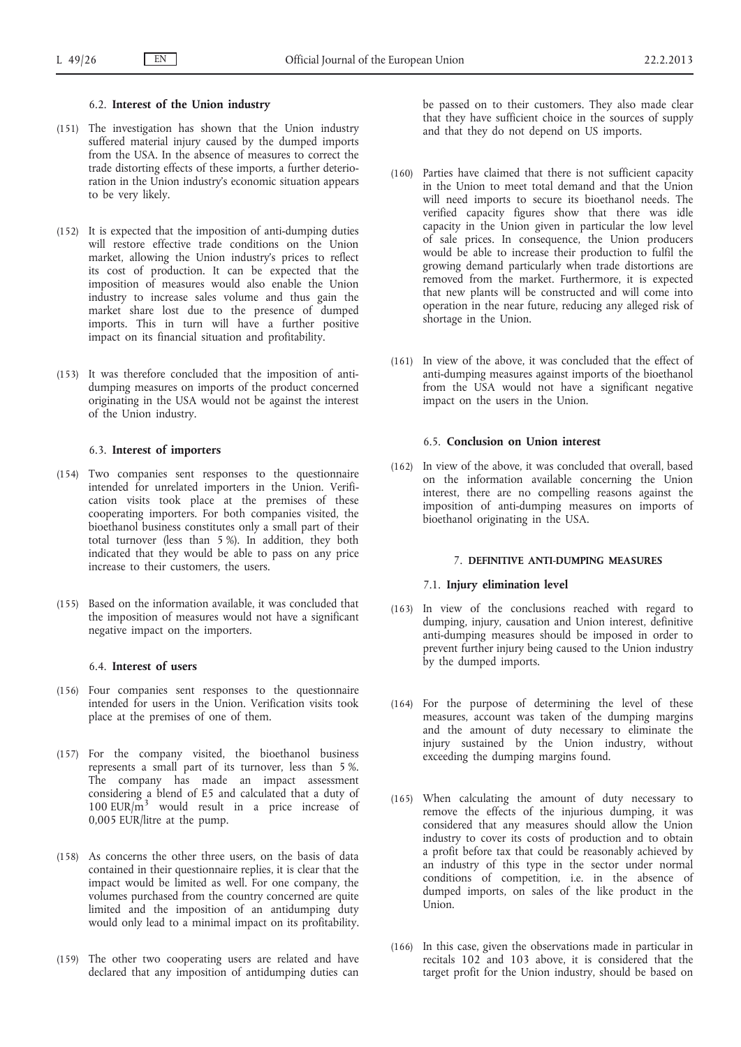## 6.2. **Interest of the Union industry**

- (151) The investigation has shown that the Union industry suffered material injury caused by the dumped imports from the USA. In the absence of measures to correct the trade distorting effects of these imports, a further deterioration in the Union industry's economic situation appears to be very likely.
- (152) It is expected that the imposition of anti-dumping duties will restore effective trade conditions on the Union market, allowing the Union industry's prices to reflect its cost of production. It can be expected that the imposition of measures would also enable the Union industry to increase sales volume and thus gain the market share lost due to the presence of dumped imports. This in turn will have a further positive impact on its financial situation and profitability.
- (153) It was therefore concluded that the imposition of antidumping measures on imports of the product concerned originating in the USA would not be against the interest of the Union industry.

## 6.3. **Interest of importers**

- (154) Two companies sent responses to the questionnaire intended for unrelated importers in the Union. Verification visits took place at the premises of these cooperating importers. For both companies visited, the bioethanol business constitutes only a small part of their total turnover (less than 5 %). In addition, they both indicated that they would be able to pass on any price increase to their customers, the users.
- (155) Based on the information available, it was concluded that the imposition of measures would not have a significant negative impact on the importers.

## 6.4. **Interest of users**

- (156) Four companies sent responses to the questionnaire intended for users in the Union. Verification visits took place at the premises of one of them.
- (157) For the company visited, the bioethanol business represents a small part of its turnover, less than 5 %. The company has made an impact assessment considering a blend of E5 and calculated that a duty of 100 EUR/m<sup>3</sup> would result in a price increase of 0,005 EUR/litre at the pump.
- (158) As concerns the other three users, on the basis of data contained in their questionnaire replies, it is clear that the impact would be limited as well. For one company, the volumes purchased from the country concerned are quite limited and the imposition of an antidumping duty would only lead to a minimal impact on its profitability.
- (159) The other two cooperating users are related and have declared that any imposition of antidumping duties can

be passed on to their customers. They also made clear that they have sufficient choice in the sources of supply and that they do not depend on US imports.

- (160) Parties have claimed that there is not sufficient capacity in the Union to meet total demand and that the Union will need imports to secure its bioethanol needs. The verified capacity figures show that there was idle capacity in the Union given in particular the low level of sale prices. In consequence, the Union producers would be able to increase their production to fulfil the growing demand particularly when trade distortions are removed from the market. Furthermore, it is expected that new plants will be constructed and will come into operation in the near future, reducing any alleged risk of shortage in the Union.
- (161) In view of the above, it was concluded that the effect of anti-dumping measures against imports of the bioethanol from the USA would not have a significant negative impact on the users in the Union.

# 6.5. **Conclusion on Union interest**

(162) In view of the above, it was concluded that overall, based on the information available concerning the Union interest, there are no compelling reasons against the imposition of anti-dumping measures on imports of bioethanol originating in the USA.

#### 7. **DEFINITIVE ANTI-DUMPING MEASURES**

## 7.1. **Injury elimination level**

- (163) In view of the conclusions reached with regard to dumping, injury, causation and Union interest, definitive anti-dumping measures should be imposed in order to prevent further injury being caused to the Union industry by the dumped imports.
- (164) For the purpose of determining the level of these measures, account was taken of the dumping margins and the amount of duty necessary to eliminate the injury sustained by the Union industry, without exceeding the dumping margins found.
- (165) When calculating the amount of duty necessary to remove the effects of the injurious dumping, it was considered that any measures should allow the Union industry to cover its costs of production and to obtain a profit before tax that could be reasonably achieved by an industry of this type in the sector under normal conditions of competition, i.e. in the absence of dumped imports, on sales of the like product in the Union.
- (166) In this case, given the observations made in particular in recitals 102 and 103 above, it is considered that the target profit for the Union industry, should be based on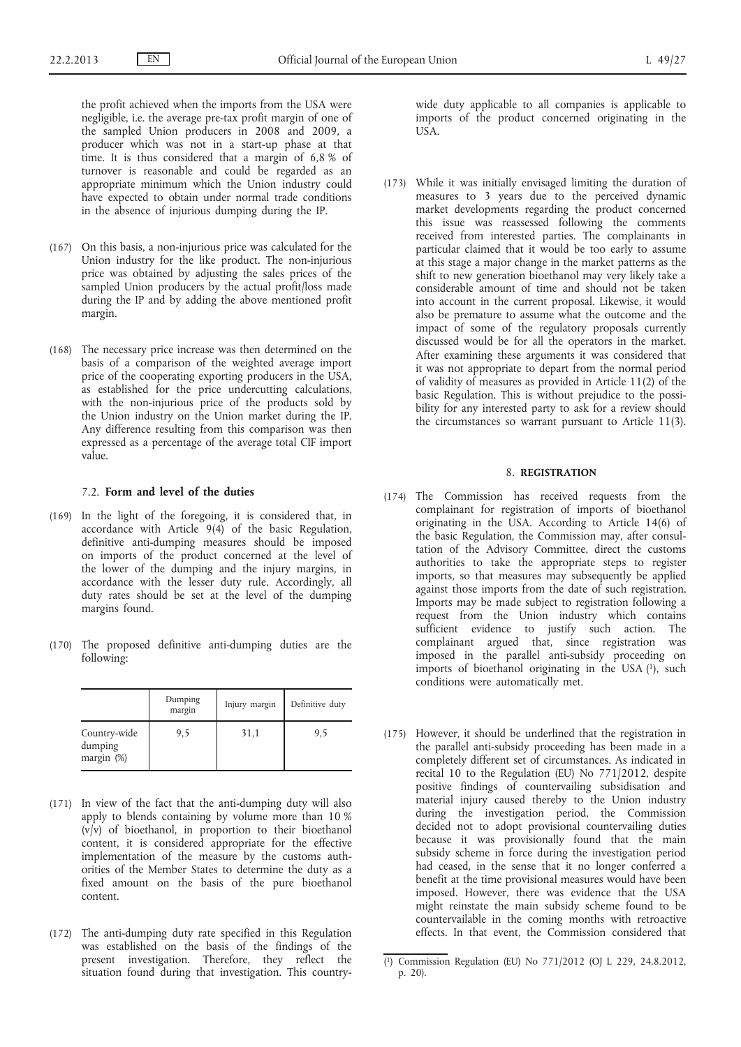the profit achieved when the imports from the USA were negligible, i.e. the average pre-tax profit margin of one of the sampled Union producers in 2008 and 2009, a producer which was not in a start-up phase at that time. It is thus considered that a margin of 6,8 % of turnover is reasonable and could be regarded as an appropriate minimum which the Union industry could have expected to obtain under normal trade conditions in the absence of injurious dumping during the IP.

- (167) On this basis, a non-injurious price was calculated for the Union industry for the like product. The non-injurious price was obtained by adjusting the sales prices of the sampled Union producers by the actual profit/loss made during the IP and by adding the above mentioned profit margin.
- (168) The necessary price increase was then determined on the basis of a comparison of the weighted average import price of the cooperating exporting producers in the USA, as established for the price undercutting calculations, with the non-injurious price of the products sold by the Union industry on the Union market during the IP. Any difference resulting from this comparison was then expressed as a percentage of the average total CIF import value.

#### 7.2. **Form and level of the duties**

- (169) In the light of the foregoing, it is considered that, in accordance with Article 9(4) of the basic Regulation, definitive anti-dumping measures should be imposed on imports of the product concerned at the level of the lower of the dumping and the injury margins, in accordance with the lesser duty rule. Accordingly, all duty rates should be set at the level of the dumping margins found.
- (170) The proposed definitive anti-dumping duties are the following:

|                                       | Dumping<br>margin | Injury margin | Definitive duty |
|---------------------------------------|-------------------|---------------|-----------------|
| Country-wide<br>dumping<br>margin (%) | 9,5               | 31,1          | 9.5             |

- (171) In view of the fact that the anti-dumping duty will also apply to blends containing by volume more than 10 % (v/v) of bioethanol, in proportion to their bioethanol content, it is considered appropriate for the effective implementation of the measure by the customs authorities of the Member States to determine the duty as a fixed amount on the basis of the pure bioethanol content.
- (172) The anti-dumping duty rate specified in this Regulation was established on the basis of the findings of the present investigation. Therefore, they reflect the situation found during that investigation. This country-

wide duty applicable to all companies is applicable to imports of the product concerned originating in the USA.

(173) While it was initially envisaged limiting the duration of measures to 3 years due to the perceived dynamic market developments regarding the product concerned this issue was reassessed following the comments received from interested parties. The complainants in particular claimed that it would be too early to assume at this stage a major change in the market patterns as the shift to new generation bioethanol may very likely take a considerable amount of time and should not be taken into account in the current proposal. Likewise, it would also be premature to assume what the outcome and the impact of some of the regulatory proposals currently discussed would be for all the operators in the market. After examining these arguments it was considered that it was not appropriate to depart from the normal period of validity of measures as provided in Article 11(2) of the basic Regulation. This is without prejudice to the possibility for any interested party to ask for a review should the circumstances so warrant pursuant to Article 11(3).

# 8. **REGISTRATION**

- (174) The Commission has received requests from the complainant for registration of imports of bioethanol originating in the USA. According to Article 14(6) of the basic Regulation, the Commission may, after consultation of the Advisory Committee, direct the customs authorities to take the appropriate steps to register imports, so that measures may subsequently be applied against those imports from the date of such registration. Imports may be made subject to registration following a request from the Union industry which contains sufficient evidence to justify such action. The complainant argued that, since registration was imposed in the parallel anti-subsidy proceeding on imports of bioethanol originating in the USA (1), such conditions were automatically met.
- (175) However, it should be underlined that the registration in the parallel anti-subsidy proceeding has been made in a completely different set of circumstances. As indicated in recital 10 to the Regulation (EU) No 771/2012, despite positive findings of countervailing subsidisation and material injury caused thereby to the Union industry during the investigation period, the Commission decided not to adopt provisional countervailing duties because it was provisionally found that the main subsidy scheme in force during the investigation period had ceased, in the sense that it no longer conferred a benefit at the time provisional measures would have been imposed. However, there was evidence that the USA might reinstate the main subsidy scheme found to be countervailable in the coming months with retroactive effects. In that event, the Commission considered that

<sup>(</sup> 1) Commission Regulation (EU) No 771/2012 (OJ L 229, 24.8.2012, p. 20).